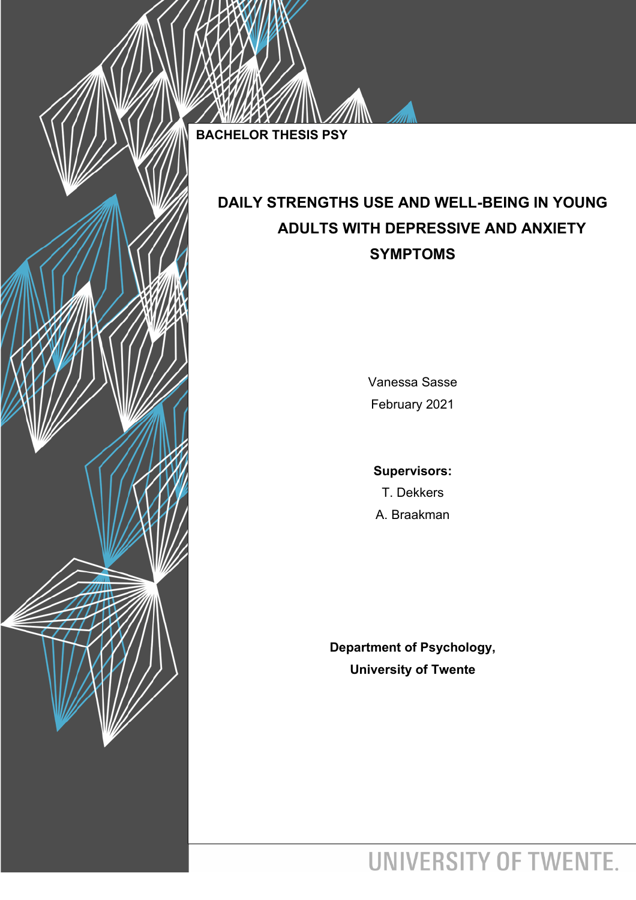**BACHELOR THESIS PSY**

# **DAILY STRENGTHS USE AND WELL-BEING IN YOUNG ADULTS WITH DEPRESSIVE AND ANXIETY SYMPTOMS**

Vanessa Sasse February 2021

**Supervisors:** T. Dekkers A. Braakman

**Department of Psychology, University of Twente**

UNIVERSITY OF TWENTE.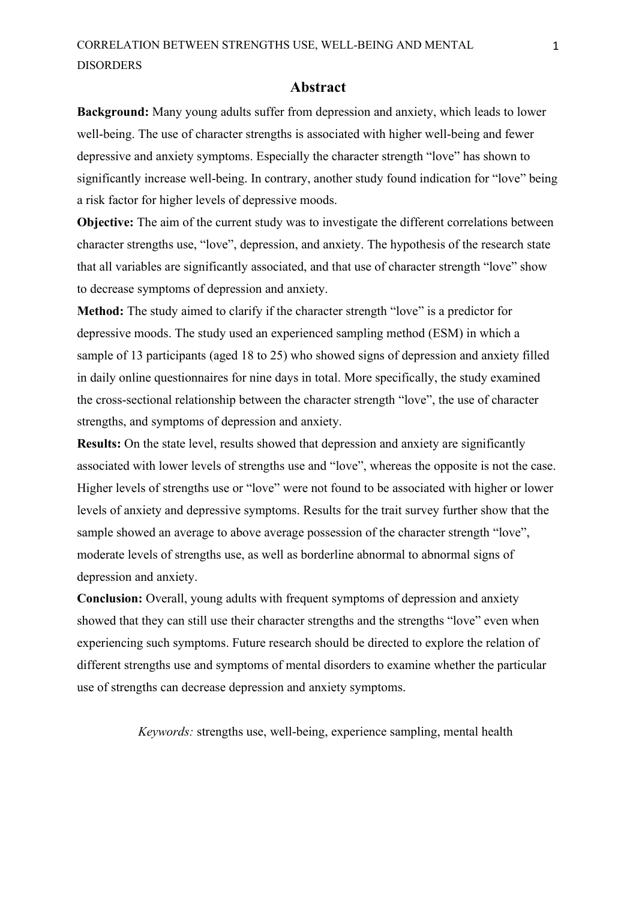#### **Abstract**

<span id="page-1-0"></span>**Background:** Many young adults suffer from depression and anxiety, which leads to lower well-being. The use of character strengths is associated with higher well-being and fewer depressive and anxiety symptoms. Especially the character strength "love" has shown to significantly increase well-being. In contrary, another study found indication for "love" being a risk factor for higher levels of depressive moods.

**Objective:** The aim of the current study was to investigate the different correlations between character strengths use, "love", depression, and anxiety. The hypothesis of the research state that all variables are significantly associated, and that use of character strength "love" show to decrease symptoms of depression and anxiety.

**Method:** The study aimed to clarify if the character strength "love" is a predictor for depressive moods. The study used an experienced sampling method (ESM) in which a sample of 13 participants (aged 18 to 25) who showed signs of depression and anxiety filled in daily online questionnaires for nine days in total. More specifically, the study examined the cross-sectional relationship between the character strength "love", the use of character strengths, and symptoms of depression and anxiety.

**Results:** On the state level, results showed that depression and anxiety are significantly associated with lower levels of strengths use and "love", whereas the opposite is not the case. Higher levels of strengths use or "love" were not found to be associated with higher or lower levels of anxiety and depressive symptoms. Results for the trait survey further show that the sample showed an average to above average possession of the character strength "love", moderate levels of strengths use, as well as borderline abnormal to abnormal signs of depression and anxiety.

**Conclusion:** Overall, young adults with frequent symptoms of depression and anxiety showed that they can still use their character strengths and the strengths "love" even when experiencing such symptoms. Future research should be directed to explore the relation of different strengths use and symptoms of mental disorders to examine whether the particular use of strengths can decrease depression and anxiety symptoms.

*Keywords:* strengths use, well-being, experience sampling, mental health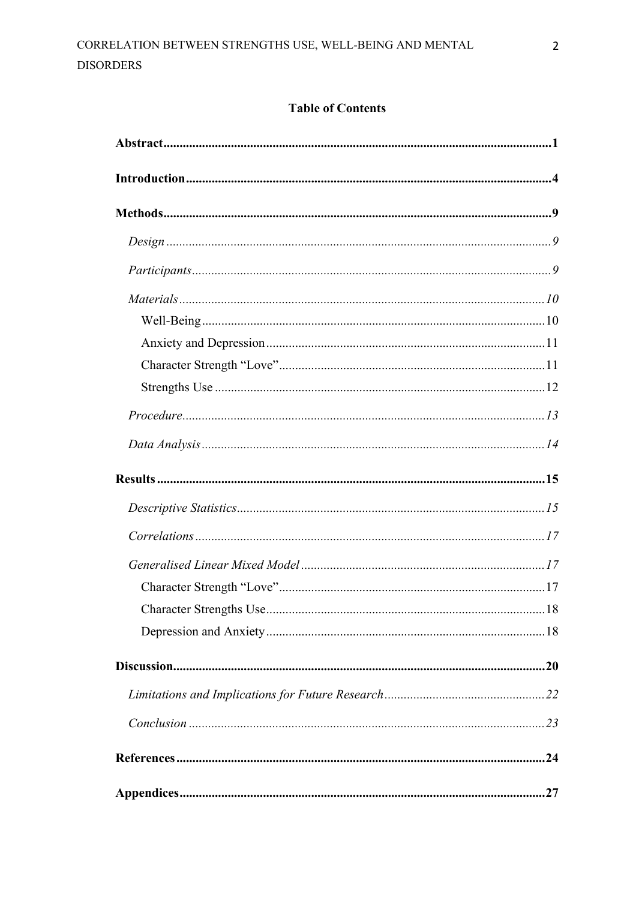## **Table of Contents**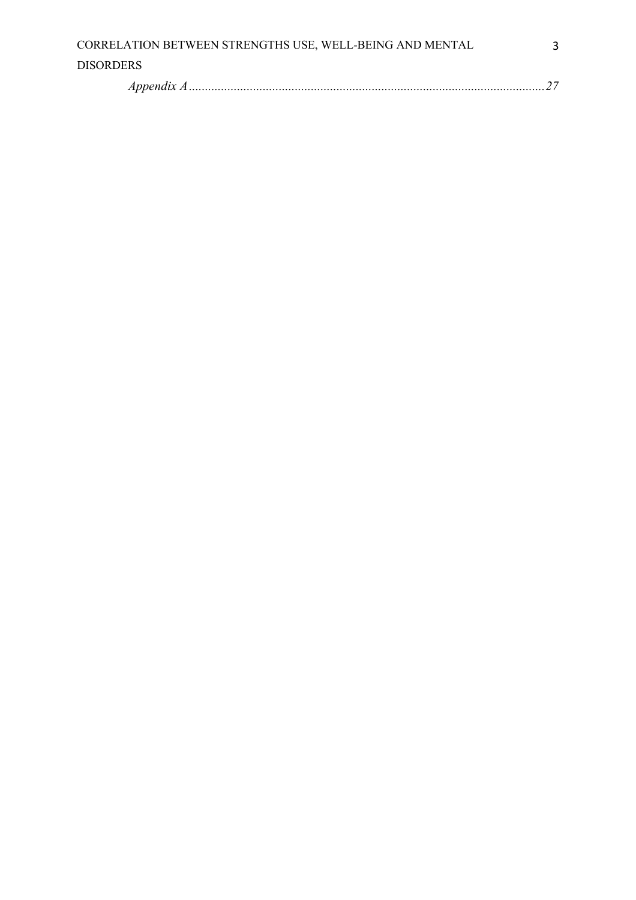| CORRELATION BETWEEN STRENGTHS USE, WELL-BEING AND MENTAL |  |
|----------------------------------------------------------|--|
| <b>DISORDERS</b>                                         |  |
|                                                          |  |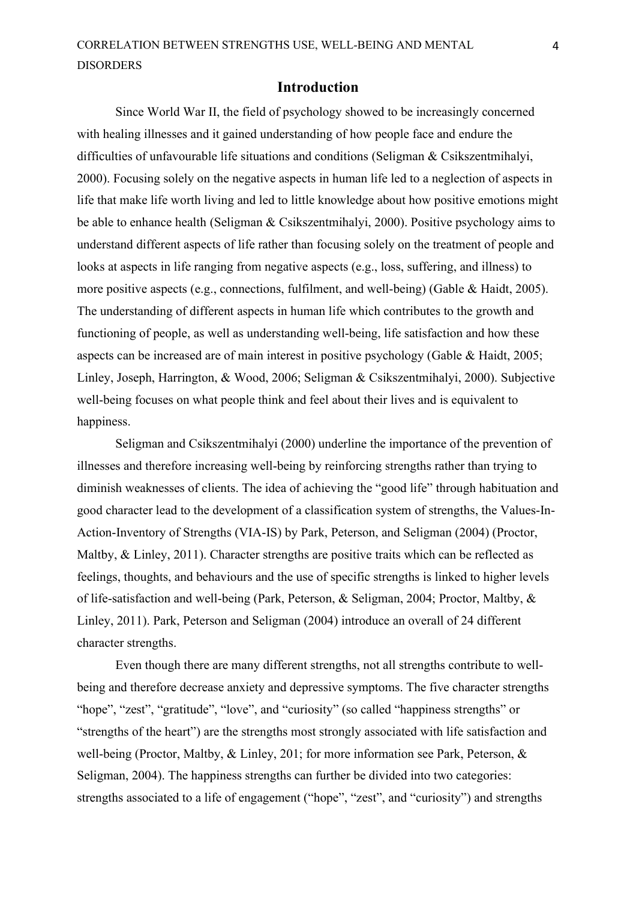#### **Introduction**

<span id="page-4-0"></span>Since World War II, the field of psychology showed to be increasingly concerned with healing illnesses and it gained understanding of how people face and endure the difficulties of unfavourable life situations and conditions (Seligman & Csikszentmihalyi, 2000). Focusing solely on the negative aspects in human life led to a neglection of aspects in life that make life worth living and led to little knowledge about how positive emotions might be able to enhance health (Seligman & Csikszentmihalyi, 2000). Positive psychology aims to understand different aspects of life rather than focusing solely on the treatment of people and looks at aspects in life ranging from negative aspects (e.g., loss, suffering, and illness) to more positive aspects (e.g., connections, fulfilment, and well-being) (Gable & Haidt, 2005). The understanding of different aspects in human life which contributes to the growth and functioning of people, as well as understanding well-being, life satisfaction and how these aspects can be increased are of main interest in positive psychology (Gable & Haidt, 2005; Linley, Joseph, Harrington, & Wood, 2006; Seligman & Csikszentmihalyi, 2000). Subjective well-being focuses on what people think and feel about their lives and is equivalent to happiness.

Seligman and Csikszentmihalyi (2000) underline the importance of the prevention of illnesses and therefore increasing well-being by reinforcing strengths rather than trying to diminish weaknesses of clients. The idea of achieving the "good life" through habituation and good character lead to the development of a classification system of strengths, the Values-In-Action-Inventory of Strengths (VIA-IS) by Park, Peterson, and Seligman (2004) (Proctor, Maltby, & Linley, 2011). Character strengths are positive traits which can be reflected as feelings, thoughts, and behaviours and the use of specific strengths is linked to higher levels of life-satisfaction and well-being (Park, Peterson, & Seligman, 2004; Proctor, Maltby, & Linley, 2011). Park, Peterson and Seligman (2004) introduce an overall of 24 different character strengths.

Even though there are many different strengths, not all strengths contribute to wellbeing and therefore decrease anxiety and depressive symptoms. The five character strengths "hope", "zest", "gratitude", "love", and "curiosity" (so called "happiness strengths" or "strengths of the heart") are the strengths most strongly associated with life satisfaction and well-being (Proctor, Maltby, & Linley, 201; for more information see Park, Peterson, & Seligman, 2004). The happiness strengths can further be divided into two categories: strengths associated to a life of engagement ("hope", "zest", and "curiosity") and strengths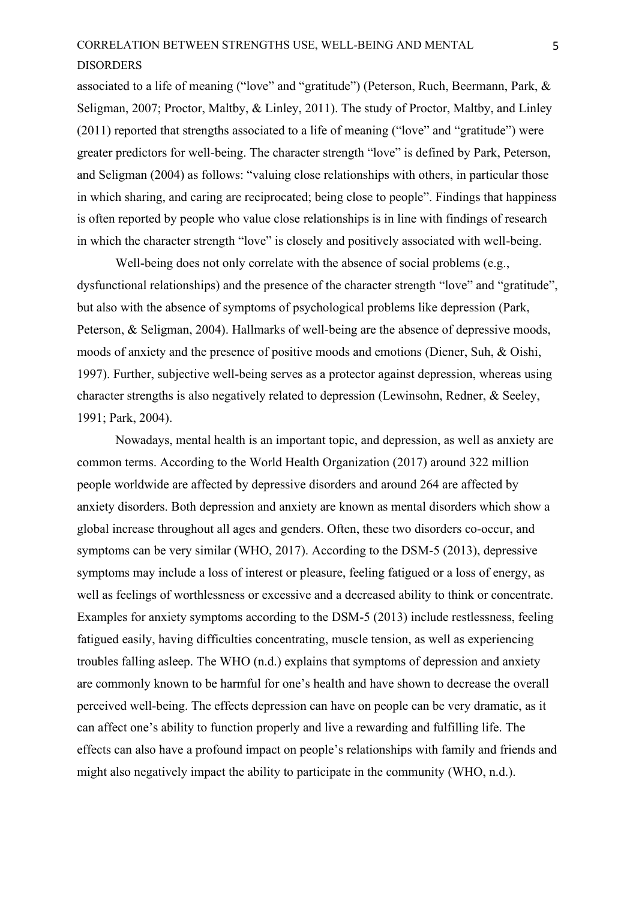associated to a life of meaning ("love" and "gratitude") (Peterson, Ruch, Beermann, Park, & Seligman, 2007; Proctor, Maltby, & Linley, 2011). The study of Proctor, Maltby, and Linley (2011) reported that strengths associated to a life of meaning ("love" and "gratitude") were greater predictors for well-being. The character strength "love" is defined by Park, Peterson, and Seligman (2004) as follows: "valuing close relationships with others, in particular those in which sharing, and caring are reciprocated; being close to people". Findings that happiness is often reported by people who value close relationships is in line with findings of research in which the character strength "love" is closely and positively associated with well-being.

Well-being does not only correlate with the absence of social problems (e.g., dysfunctional relationships) and the presence of the character strength "love" and "gratitude", but also with the absence of symptoms of psychological problems like depression (Park, Peterson, & Seligman, 2004). Hallmarks of well-being are the absence of depressive moods, moods of anxiety and the presence of positive moods and emotions (Diener, Suh, & Oishi, 1997). Further, subjective well-being serves as a protector against depression, whereas using character strengths is also negatively related to depression (Lewinsohn, Redner, & Seeley, 1991; Park, 2004).

Nowadays, mental health is an important topic, and depression, as well as anxiety are common terms. According to the World Health Organization (2017) around 322 million people worldwide are affected by depressive disorders and around 264 are affected by anxiety disorders. Both depression and anxiety are known as mental disorders which show a global increase throughout all ages and genders. Often, these two disorders co-occur, and symptoms can be very similar (WHO, 2017). According to the DSM-5 (2013), depressive symptoms may include a loss of interest or pleasure, feeling fatigued or a loss of energy, as well as feelings of worthlessness or excessive and a decreased ability to think or concentrate. Examples for anxiety symptoms according to the DSM-5 (2013) include restlessness, feeling fatigued easily, having difficulties concentrating, muscle tension, as well as experiencing troubles falling asleep. The WHO (n.d.) explains that symptoms of depression and anxiety are commonly known to be harmful for one's health and have shown to decrease the overall perceived well-being. The effects depression can have on people can be very dramatic, as it can affect one's ability to function properly and live a rewarding and fulfilling life. The effects can also have a profound impact on people's relationships with family and friends and might also negatively impact the ability to participate in the community (WHO, n.d.).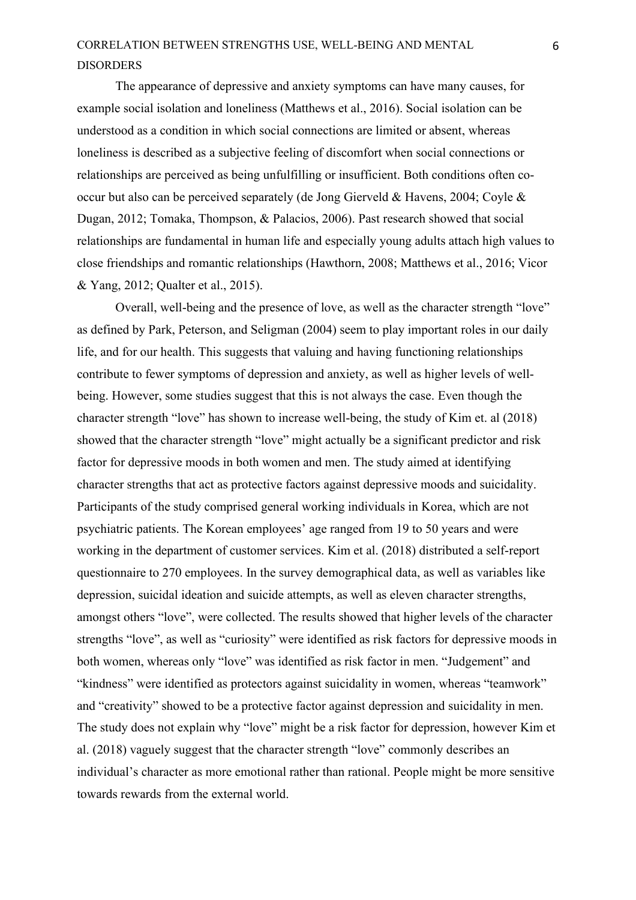The appearance of depressive and anxiety symptoms can have many causes, for example social isolation and loneliness (Matthews et al., 2016). Social isolation can be understood as a condition in which social connections are limited or absent, whereas loneliness is described as a subjective feeling of discomfort when social connections or relationships are perceived as being unfulfilling or insufficient. Both conditions often cooccur but also can be perceived separately (de Jong Gierveld & Havens, 2004; Coyle & Dugan, 2012; Tomaka, Thompson, & Palacios, 2006). Past research showed that social relationships are fundamental in human life and especially young adults attach high values to close friendships and romantic relationships (Hawthorn, 2008; Matthews et al., 2016; Vicor & Yang, 2012; Qualter et al., 2015).

Overall, well-being and the presence of love, as well as the character strength "love" as defined by Park, Peterson, and Seligman (2004) seem to play important roles in our daily life, and for our health. This suggests that valuing and having functioning relationships contribute to fewer symptoms of depression and anxiety, as well as higher levels of wellbeing. However, some studies suggest that this is not always the case. Even though the character strength "love" has shown to increase well-being, the study of Kim et. al (2018) showed that the character strength "love" might actually be a significant predictor and risk factor for depressive moods in both women and men. The study aimed at identifying character strengths that act as protective factors against depressive moods and suicidality. Participants of the study comprised general working individuals in Korea, which are not psychiatric patients. The Korean employees' age ranged from 19 to 50 years and were working in the department of customer services. Kim et al. (2018) distributed a self-report questionnaire to 270 employees. In the survey demographical data, as well as variables like depression, suicidal ideation and suicide attempts, as well as eleven character strengths, amongst others "love", were collected. The results showed that higher levels of the character strengths "love", as well as "curiosity" were identified as risk factors for depressive moods in both women, whereas only "love" was identified as risk factor in men. "Judgement" and "kindness" were identified as protectors against suicidality in women, whereas "teamwork" and "creativity" showed to be a protective factor against depression and suicidality in men. The study does not explain why "love" might be a risk factor for depression, however Kim et al. (2018) vaguely suggest that the character strength "love" commonly describes an individual's character as more emotional rather than rational. People might be more sensitive towards rewards from the external world.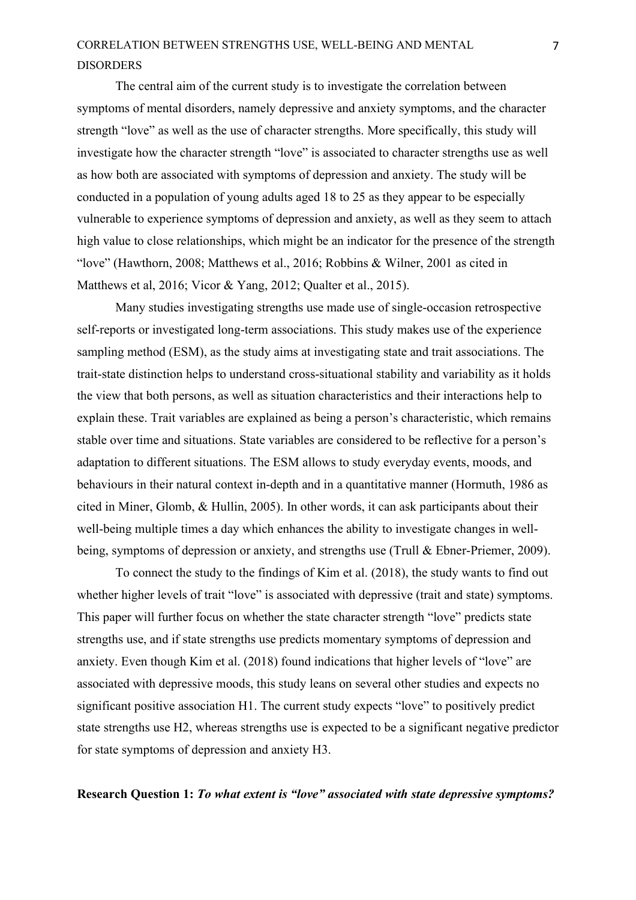The central aim of the current study is to investigate the correlation between symptoms of mental disorders, namely depressive and anxiety symptoms, and the character strength "love" as well as the use of character strengths. More specifically, this study will investigate how the character strength "love" is associated to character strengths use as well as how both are associated with symptoms of depression and anxiety. The study will be conducted in a population of young adults aged 18 to 25 as they appear to be especially vulnerable to experience symptoms of depression and anxiety, as well as they seem to attach high value to close relationships, which might be an indicator for the presence of the strength "love" (Hawthorn, 2008; Matthews et al., 2016; Robbins & Wilner, 2001 as cited in Matthews et al, 2016; Vicor & Yang, 2012; Qualter et al., 2015).

Many studies investigating strengths use made use of single-occasion retrospective self-reports or investigated long-term associations. This study makes use of the experience sampling method (ESM), as the study aims at investigating state and trait associations. The trait-state distinction helps to understand cross-situational stability and variability as it holds the view that both persons, as well as situation characteristics and their interactions help to explain these. Trait variables are explained as being a person's characteristic, which remains stable over time and situations. State variables are considered to be reflective for a person's adaptation to different situations. The ESM allows to study everyday events, moods, and behaviours in their natural context in-depth and in a quantitative manner (Hormuth, 1986 as cited in Miner, Glomb, & Hullin, 2005). In other words, it can ask participants about their well-being multiple times a day which enhances the ability to investigate changes in wellbeing, symptoms of depression or anxiety, and strengths use (Trull & Ebner-Priemer, 2009).

To connect the study to the findings of Kim et al. (2018), the study wants to find out whether higher levels of trait "love" is associated with depressive (trait and state) symptoms. This paper will further focus on whether the state character strength "love" predicts state strengths use, and if state strengths use predicts momentary symptoms of depression and anxiety. Even though Kim et al. (2018) found indications that higher levels of "love" are associated with depressive moods, this study leans on several other studies and expects no significant positive association H1. The current study expects "love" to positively predict state strengths use H2, whereas strengths use is expected to be a significant negative predictor for state symptoms of depression and anxiety H3.

### **Research Question 1:** *To what extent is "love" associated with state depressive symptoms?*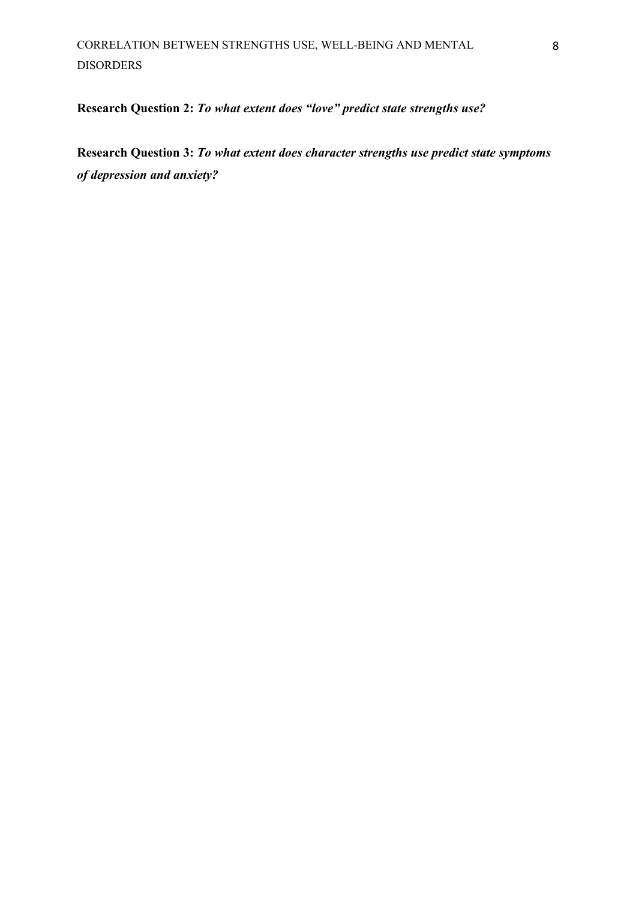**Research Question 2:** *To what extent does "love" predict state strengths use?*

**Research Question 3:** *To what extent does character strengths use predict state symptoms of depression and anxiety?*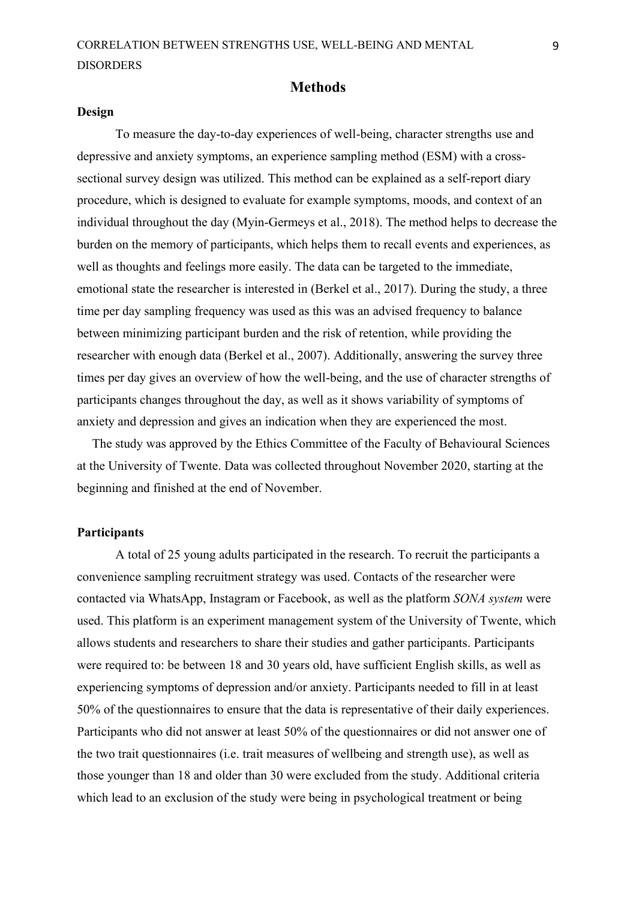#### **Methods**

#### <span id="page-9-1"></span><span id="page-9-0"></span>**Design**

To measure the day-to-day experiences of well-being, character strengths use and depressive and anxiety symptoms, an experience sampling method (ESM) with a crosssectional survey design was utilized. This method can be explained as a self-report diary procedure, which is designed to evaluate for example symptoms, moods, and context of an individual throughout the day (Myin-Germeys et al., 2018). The method helps to decrease the burden on the memory of participants, which helps them to recall events and experiences, as well as thoughts and feelings more easily. The data can be targeted to the immediate, emotional state the researcher is interested in (Berkel et al., 2017). During the study, a three time per day sampling frequency was used as this was an advised frequency to balance between minimizing participant burden and the risk of retention, while providing the researcher with enough data (Berkel et al., 2007). Additionally, answering the survey three times per day gives an overview of how the well-being, and the use of character strengths of participants changes throughout the day, as well as it shows variability of symptoms of anxiety and depression and gives an indication when they are experienced the most.

The study was approved by the Ethics Committee of the Faculty of Behavioural Sciences at the University of Twente. Data was collected throughout November 2020, starting at the beginning and finished at the end of November.

#### <span id="page-9-2"></span>**Participants**

A total of 25 young adults participated in the research. To recruit the participants a convenience sampling recruitment strategy was used. Contacts of the researcher were contacted via WhatsApp, Instagram or Facebook, as well as the platform *SONA system* were used. This platform is an experiment management system of the University of Twente, which allows students and researchers to share their studies and gather participants. Participants were required to: be between 18 and 30 years old, have sufficient English skills, as well as experiencing symptoms of depression and/or anxiety. Participants needed to fill in at least 50% of the questionnaires to ensure that the data is representative of their daily experiences. Participants who did not answer at least 50% of the questionnaires or did not answer one of the two trait questionnaires (i.e. trait measures of wellbeing and strength use), as well as those younger than 18 and older than 30 were excluded from the study. Additional criteria which lead to an exclusion of the study were being in psychological treatment or being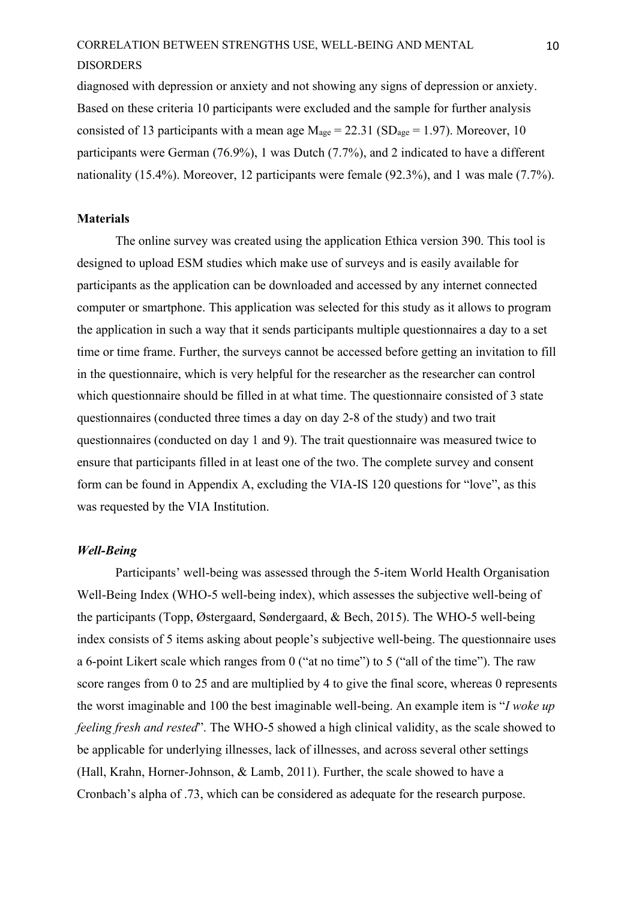diagnosed with depression or anxiety and not showing any signs of depression or anxiety. Based on these criteria 10 participants were excluded and the sample for further analysis consisted of 13 participants with a mean age  $M_{\text{age}} = 22.31$  (SD<sub>age</sub> = 1.97). Moreover, 10 participants were German (76.9%), 1 was Dutch (7.7%), and 2 indicated to have a different nationality (15.4%). Moreover, 12 participants were female (92.3%), and 1 was male (7.7%).

#### <span id="page-10-0"></span>**Materials**

The online survey was created using the application Ethica version 390. This tool is designed to upload ESM studies which make use of surveys and is easily available for participants as the application can be downloaded and accessed by any internet connected computer or smartphone. This application was selected for this study as it allows to program the application in such a way that it sends participants multiple questionnaires a day to a set time or time frame. Further, the surveys cannot be accessed before getting an invitation to fill in the questionnaire, which is very helpful for the researcher as the researcher can control which questionnaire should be filled in at what time. The questionnaire consisted of 3 state questionnaires (conducted three times a day on day 2-8 of the study) and two trait questionnaires (conducted on day 1 and 9). The trait questionnaire was measured twice to ensure that participants filled in at least one of the two. The complete survey and consent form can be found in Appendix A, excluding the VIA-IS 120 questions for "love", as this was requested by the VIA Institution.

#### <span id="page-10-1"></span>*Well-Being*

Participants' well-being was assessed through the 5-item World Health Organisation Well-Being Index (WHO-5 well-being index), which assesses the subjective well-being of the participants (Topp, Østergaard, Søndergaard, & Bech, 2015). The WHO-5 well-being index consists of 5 items asking about people's subjective well-being. The questionnaire uses a 6-point Likert scale which ranges from 0 ("at no time") to 5 ("all of the time"). The raw score ranges from 0 to 25 and are multiplied by 4 to give the final score, whereas 0 represents the worst imaginable and 100 the best imaginable well-being. An example item is "*I woke up feeling fresh and rested*". The WHO-5 showed a high clinical validity, as the scale showed to be applicable for underlying illnesses, lack of illnesses, and across several other settings (Hall, Krahn, Horner-Johnson, & Lamb, 2011). Further, the scale showed to have a Cronbach's alpha of .73, which can be considered as adequate for the research purpose.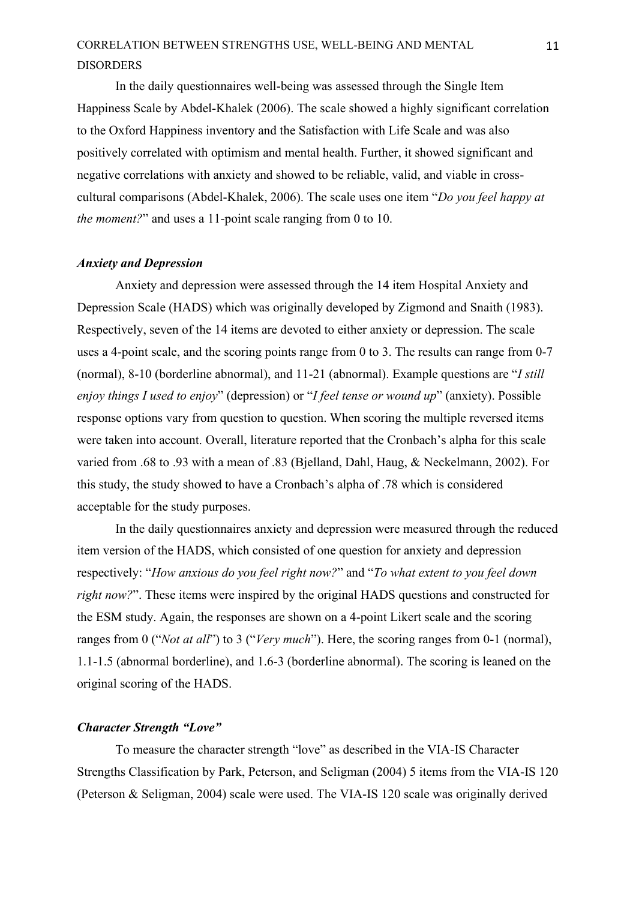In the daily questionnaires well-being was assessed through the Single Item Happiness Scale by Abdel-Khalek (2006). The scale showed a highly significant correlation to the Oxford Happiness inventory and the Satisfaction with Life Scale and was also positively correlated with optimism and mental health. Further, it showed significant and negative correlations with anxiety and showed to be reliable, valid, and viable in crosscultural comparisons (Abdel-Khalek, 2006). The scale uses one item "*Do you feel happy at the moment?*" and uses a 11-point scale ranging from 0 to 10.

#### <span id="page-11-0"></span>*Anxiety and Depression*

Anxiety and depression were assessed through the 14 item Hospital Anxiety and Depression Scale (HADS) which was originally developed by Zigmond and Snaith (1983). Respectively, seven of the 14 items are devoted to either anxiety or depression. The scale uses a 4-point scale, and the scoring points range from 0 to 3. The results can range from 0-7 (normal), 8-10 (borderline abnormal), and 11-21 (abnormal). Example questions are "*I still enjoy things I used to enjoy*" (depression) or "*I feel tense or wound up*" (anxiety). Possible response options vary from question to question. When scoring the multiple reversed items were taken into account. Overall, literature reported that the Cronbach's alpha for this scale varied from .68 to .93 with a mean of .83 (Bjelland, Dahl, Haug, & Neckelmann, 2002). For this study, the study showed to have a Cronbach's alpha of .78 which is considered acceptable for the study purposes.

In the daily questionnaires anxiety and depression were measured through the reduced item version of the HADS, which consisted of one question for anxiety and depression respectively: "*How anxious do you feel right now?*" and "*To what extent to you feel down right now?*". These items were inspired by the original HADS questions and constructed for the ESM study. Again, the responses are shown on a 4-point Likert scale and the scoring ranges from 0 ("*Not at all*") to 3 ("*Very much*"). Here, the scoring ranges from 0-1 (normal), 1.1-1.5 (abnormal borderline), and 1.6-3 (borderline abnormal). The scoring is leaned on the original scoring of the HADS.

#### <span id="page-11-1"></span>*Character Strength "Love"*

To measure the character strength "love" as described in the VIA-IS Character Strengths Classification by Park, Peterson, and Seligman (2004) 5 items from the VIA-IS 120 (Peterson & Seligman, 2004) scale were used. The VIA-IS 120 scale was originally derived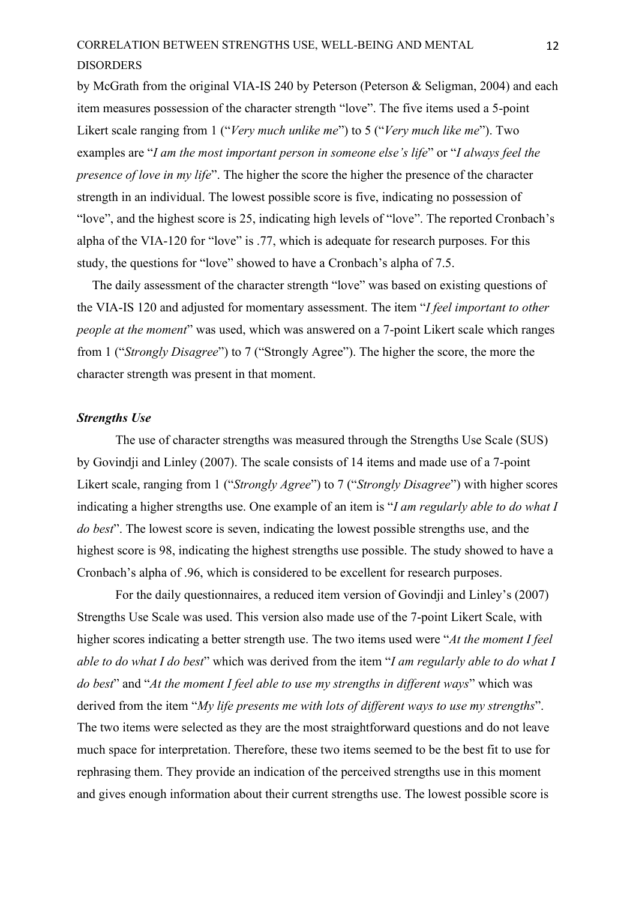by McGrath from the original VIA-IS 240 by Peterson (Peterson & Seligman, 2004) and each item measures possession of the character strength "love". The five items used a 5-point Likert scale ranging from 1 ("*Very much unlike me*") to 5 ("*Very much like me*"). Two examples are "*I am the most important person in someone else's life*" or "*I always feel the presence of love in my life*". The higher the score the higher the presence of the character strength in an individual. The lowest possible score is five, indicating no possession of "love", and the highest score is 25, indicating high levels of "love". The reported Cronbach's alpha of the VIA-120 for "love" is .77, which is adequate for research purposes. For this study, the questions for "love" showed to have a Cronbach's alpha of 7.5.

The daily assessment of the character strength "love" was based on existing questions of the VIA-IS 120 and adjusted for momentary assessment. The item "*I feel important to other people at the moment*" was used, which was answered on a 7-point Likert scale which ranges from 1 ("*Strongly Disagree*") to 7 ("Strongly Agree"). The higher the score, the more the character strength was present in that moment.

#### <span id="page-12-0"></span>*Strengths Use*

The use of character strengths was measured through the Strengths Use Scale (SUS) by Govindji and Linley (2007). The scale consists of 14 items and made use of a 7-point Likert scale, ranging from 1 ("*Strongly Agree*") to 7 ("*Strongly Disagree*") with higher scores indicating a higher strengths use. One example of an item is "*I am regularly able to do what I do best*". The lowest score is seven, indicating the lowest possible strengths use, and the highest score is 98, indicating the highest strengths use possible. The study showed to have a Cronbach's alpha of .96, which is considered to be excellent for research purposes.

For the daily questionnaires, a reduced item version of Govindji and Linley's (2007) Strengths Use Scale was used. This version also made use of the 7-point Likert Scale, with higher scores indicating a better strength use. The two items used were "*At the moment I feel able to do what I do best*" which was derived from the item "*I am regularly able to do what I do best*" and "*At the moment I feel able to use my strengths in different ways*" which was derived from the item "*My life presents me with lots of different ways to use my strengths*". The two items were selected as they are the most straightforward questions and do not leave much space for interpretation. Therefore, these two items seemed to be the best fit to use for rephrasing them. They provide an indication of the perceived strengths use in this moment and gives enough information about their current strengths use. The lowest possible score is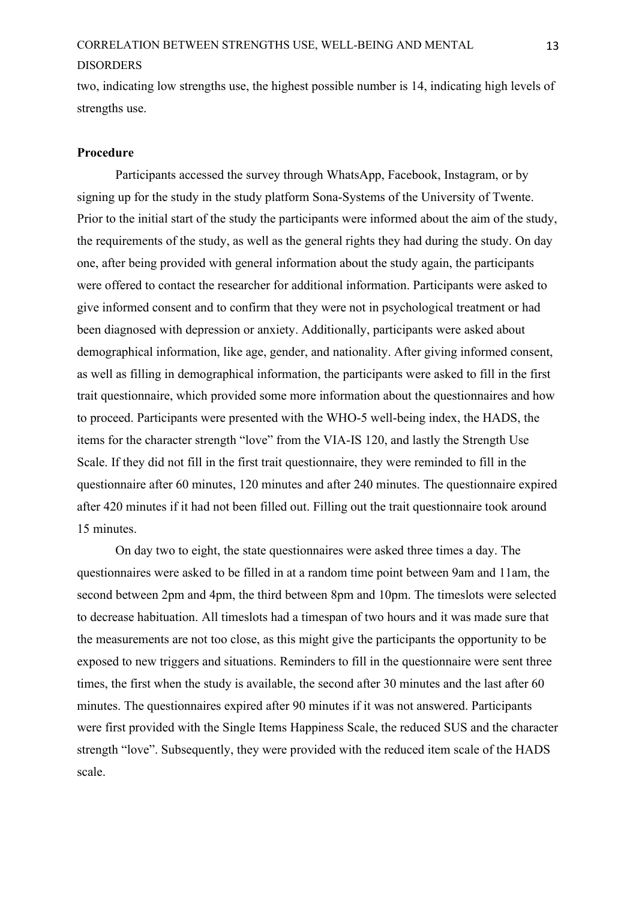two, indicating low strengths use, the highest possible number is 14, indicating high levels of strengths use.

#### <span id="page-13-0"></span>**Procedure**

Participants accessed the survey through WhatsApp, Facebook, Instagram, or by signing up for the study in the study platform Sona-Systems of the University of Twente. Prior to the initial start of the study the participants were informed about the aim of the study, the requirements of the study, as well as the general rights they had during the study. On day one, after being provided with general information about the study again, the participants were offered to contact the researcher for additional information. Participants were asked to give informed consent and to confirm that they were not in psychological treatment or had been diagnosed with depression or anxiety. Additionally, participants were asked about demographical information, like age, gender, and nationality. After giving informed consent, as well as filling in demographical information, the participants were asked to fill in the first trait questionnaire, which provided some more information about the questionnaires and how to proceed. Participants were presented with the WHO-5 well-being index, the HADS, the items for the character strength "love" from the VIA-IS 120, and lastly the Strength Use Scale. If they did not fill in the first trait questionnaire, they were reminded to fill in the questionnaire after 60 minutes, 120 minutes and after 240 minutes. The questionnaire expired after 420 minutes if it had not been filled out. Filling out the trait questionnaire took around 15 minutes.

On day two to eight, the state questionnaires were asked three times a day. The questionnaires were asked to be filled in at a random time point between 9am and 11am, the second between 2pm and 4pm, the third between 8pm and 10pm. The timeslots were selected to decrease habituation. All timeslots had a timespan of two hours and it was made sure that the measurements are not too close, as this might give the participants the opportunity to be exposed to new triggers and situations. Reminders to fill in the questionnaire were sent three times, the first when the study is available, the second after 30 minutes and the last after 60 minutes. The questionnaires expired after 90 minutes if it was not answered. Participants were first provided with the Single Items Happiness Scale, the reduced SUS and the character strength "love". Subsequently, they were provided with the reduced item scale of the HADS scale.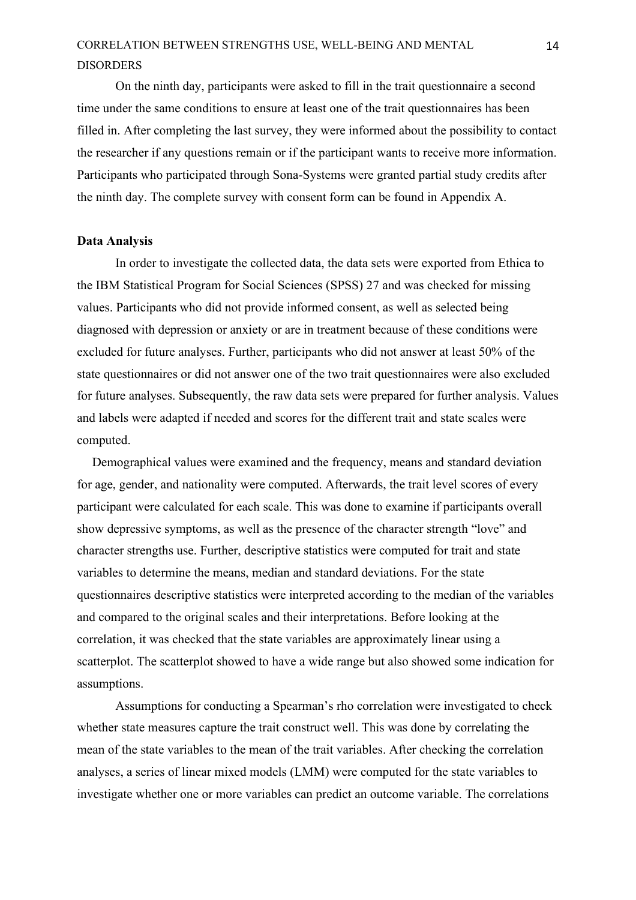On the ninth day, participants were asked to fill in the trait questionnaire a second time under the same conditions to ensure at least one of the trait questionnaires has been filled in. After completing the last survey, they were informed about the possibility to contact the researcher if any questions remain or if the participant wants to receive more information. Participants who participated through Sona-Systems were granted partial study credits after the ninth day. The complete survey with consent form can be found in Appendix A.

#### <span id="page-14-0"></span>**Data Analysis**

In order to investigate the collected data, the data sets were exported from Ethica to the IBM Statistical Program for Social Sciences (SPSS) 27 and was checked for missing values. Participants who did not provide informed consent, as well as selected being diagnosed with depression or anxiety or are in treatment because of these conditions were excluded for future analyses. Further, participants who did not answer at least 50% of the state questionnaires or did not answer one of the two trait questionnaires were also excluded for future analyses. Subsequently, the raw data sets were prepared for further analysis. Values and labels were adapted if needed and scores for the different trait and state scales were computed.

Demographical values were examined and the frequency, means and standard deviation for age, gender, and nationality were computed. Afterwards, the trait level scores of every participant were calculated for each scale. This was done to examine if participants overall show depressive symptoms, as well as the presence of the character strength "love" and character strengths use. Further, descriptive statistics were computed for trait and state variables to determine the means, median and standard deviations. For the state questionnaires descriptive statistics were interpreted according to the median of the variables and compared to the original scales and their interpretations. Before looking at the correlation, it was checked that the state variables are approximately linear using a scatterplot. The scatterplot showed to have a wide range but also showed some indication for assumptions.

Assumptions for conducting a Spearman's rho correlation were investigated to check whether state measures capture the trait construct well. This was done by correlating the mean of the state variables to the mean of the trait variables. After checking the correlation analyses, a series of linear mixed models (LMM) were computed for the state variables to investigate whether one or more variables can predict an outcome variable. The correlations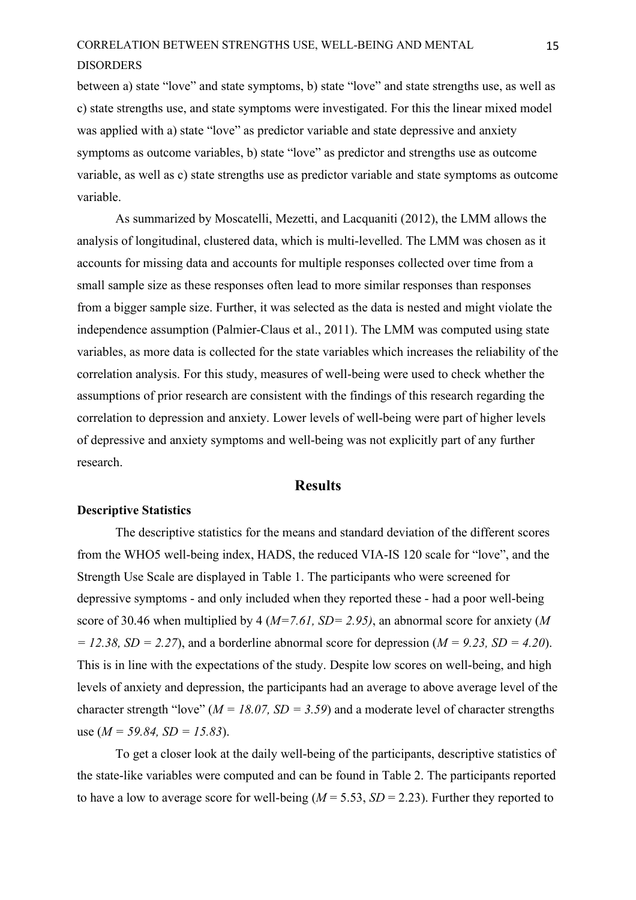between a) state "love" and state symptoms, b) state "love" and state strengths use, as well as c) state strengths use, and state symptoms were investigated. For this the linear mixed model was applied with a) state "love" as predictor variable and state depressive and anxiety symptoms as outcome variables, b) state "love" as predictor and strengths use as outcome variable, as well as c) state strengths use as predictor variable and state symptoms as outcome variable.

As summarized by Moscatelli, Mezetti, and Lacquaniti (2012), the LMM allows the analysis of longitudinal, clustered data, which is multi-levelled. The LMM was chosen as it accounts for missing data and accounts for multiple responses collected over time from a small sample size as these responses often lead to more similar responses than responses from a bigger sample size. Further, it was selected as the data is nested and might violate the independence assumption (Palmier-Claus et al., 2011). The LMM was computed using state variables, as more data is collected for the state variables which increases the reliability of the correlation analysis. For this study, measures of well-being were used to check whether the assumptions of prior research are consistent with the findings of this research regarding the correlation to depression and anxiety. Lower levels of well-being were part of higher levels of depressive and anxiety symptoms and well-being was not explicitly part of any further research.

### **Results**

#### <span id="page-15-1"></span><span id="page-15-0"></span>**Descriptive Statistics**

The descriptive statistics for the means and standard deviation of the different scores from the WHO5 well-being index, HADS, the reduced VIA-IS 120 scale for "love", and the Strength Use Scale are displayed in Table 1. The participants who were screened for depressive symptoms - and only included when they reported these - had a poor well-being score of 30.46 when multiplied by 4 (*M=7.61, SD= 2.95)*, an abnormal score for anxiety (*M = 12.38, SD = 2.27*), and a borderline abnormal score for depression (*M = 9.23, SD = 4.20*). This is in line with the expectations of the study. Despite low scores on well-being, and high levels of anxiety and depression, the participants had an average to above average level of the character strength "love" ( $M = 18.07$ ,  $SD = 3.59$ ) and a moderate level of character strengths use (*M = 59.84, SD = 15.83*).

To get a closer look at the daily well-being of the participants, descriptive statistics of the state-like variables were computed and can be found in Table 2. The participants reported to have a low to average score for well-being  $(M = 5.53, SD = 2.23)$ . Further they reported to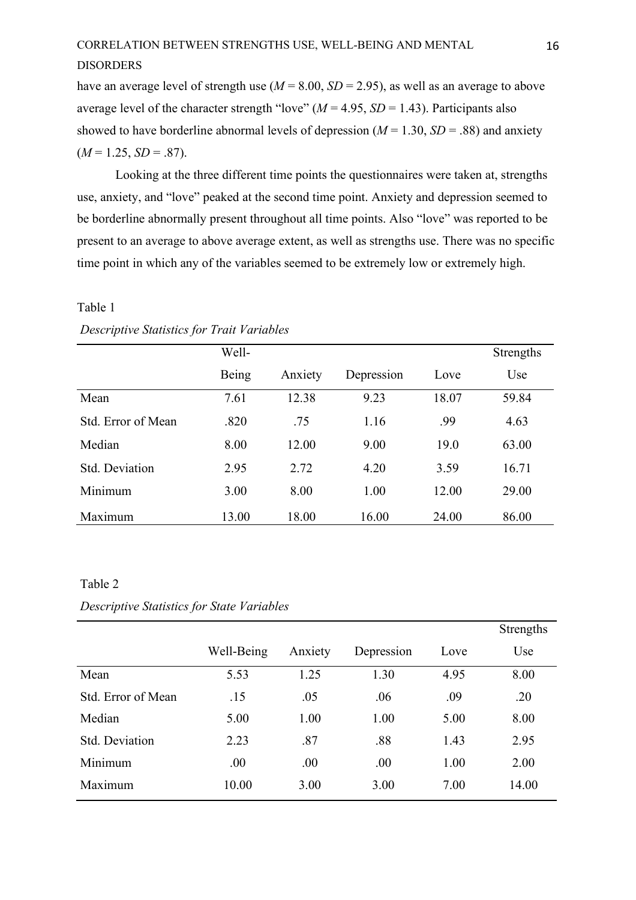have an average level of strength use (*M* = 8.00, *SD* = 2.95), as well as an average to above average level of the character strength "love" ( $M = 4.95$ ,  $SD = 1.43$ ). Participants also showed to have borderline abnormal levels of depression  $(M = 1.30, SD = .88)$  and anxiety  $(M = 1.25, SD = .87)$ .

Looking at the three different time points the questionnaires were taken at, strengths use, anxiety, and "love" peaked at the second time point. Anxiety and depression seemed to be borderline abnormally present throughout all time points. Also "love" was reported to be present to an average to above average extent, as well as strengths use. There was no specific time point in which any of the variables seemed to be extremely low or extremely high.

#### Table 1

|                    | Well- |         |            |       | Strengths |
|--------------------|-------|---------|------------|-------|-----------|
|                    | Being | Anxiety | Depression | Love  | Use       |
| Mean               | 7.61  | 12.38   | 9.23       | 18.07 | 59.84     |
| Std. Error of Mean | .820  | .75     | 1.16       | .99   | 4.63      |
| Median             | 8.00  | 12.00   | 9.00       | 19.0  | 63.00     |
| Std. Deviation     | 2.95  | 2.72    | 4.20       | 3.59  | 16.71     |
| Minimum            | 3.00  | 8.00    | 1.00       | 12.00 | 29.00     |
| Maximum            | 13.00 | 18.00   | 16.00      | 24.00 | 86.00     |

#### *Descriptive Statistics for Trait Variables*

#### Table 2

#### *Descriptive Statistics for State Variables*

|                    |            |         |            |      | Strengths |
|--------------------|------------|---------|------------|------|-----------|
|                    | Well-Being | Anxiety | Depression | Love | Use       |
| Mean               | 5.53       | 1.25    | 1.30       | 4.95 | 8.00      |
| Std. Error of Mean | .15        | .05     | .06        | .09  | .20       |
| Median             | 5.00       | 1.00    | 1.00       | 5.00 | 8.00      |
| Std. Deviation     | 2.23       | .87     | .88        | 1.43 | 2.95      |
| Minimum            | .00        | .00     | .00        | 1.00 | 2.00      |
| Maximum            | 10.00      | 3.00    | 3.00       | 7.00 | 14.00     |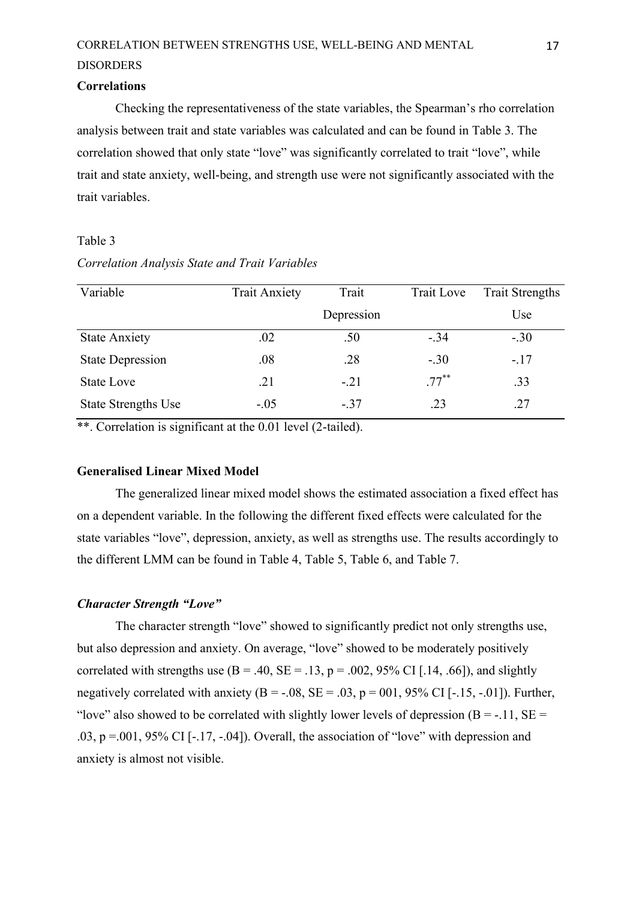#### <span id="page-17-0"></span>**Correlations**

Checking the representativeness of the state variables, the Spearman's rho correlation analysis between trait and state variables was calculated and can be found in Table 3. The correlation showed that only state "love" was significantly correlated to trait "love", while trait and state anxiety, well-being, and strength use were not significantly associated with the trait variables.

#### Table 3

| Variable                   | <b>Trait Anxiety</b> | Trait      | Trait Love | <b>Trait Strengths</b> |
|----------------------------|----------------------|------------|------------|------------------------|
|                            |                      | Depression |            | Use                    |
| <b>State Anxiety</b>       | .02                  | .50        | $-.34$     | $-.30$                 |
| <b>State Depression</b>    | .08                  | .28        | $-.30$     | $-.17$                 |
| <b>State Love</b>          | .21                  | $-.21$     | $.77***$   | .33                    |
| <b>State Strengths Use</b> | $-.05$               | $-.37$     | .23        | .27                    |

*Correlation Analysis State and Trait Variables*

\*\*. Correlation is significant at the 0.01 level (2-tailed).

#### <span id="page-17-1"></span>**Generalised Linear Mixed Model**

The generalized linear mixed model shows the estimated association a fixed effect has on a dependent variable. In the following the different fixed effects were calculated for the state variables "love", depression, anxiety, as well as strengths use. The results accordingly to the different LMM can be found in Table 4, Table 5, Table 6, and Table 7.

#### <span id="page-17-2"></span>*Character Strength "Love"*

The character strength "love" showed to significantly predict not only strengths use, but also depression and anxiety. On average, "love" showed to be moderately positively correlated with strengths use  $(B = .40, SE = .13, p = .002, 95\% \text{ CI}$  [.14, .66]), and slightly negatively correlated with anxiety ( $B = -.08$ ,  $SE = .03$ ,  $p = 001$ ,  $95\%$  CI [-.15, -.01]). Further, "love" also showed to be correlated with slightly lower levels of depression ( $B = -11$ ,  $SE =$ .03,  $p = .001$ , 95% CI [-.17, -.04]). Overall, the association of "love" with depression and anxiety is almost not visible.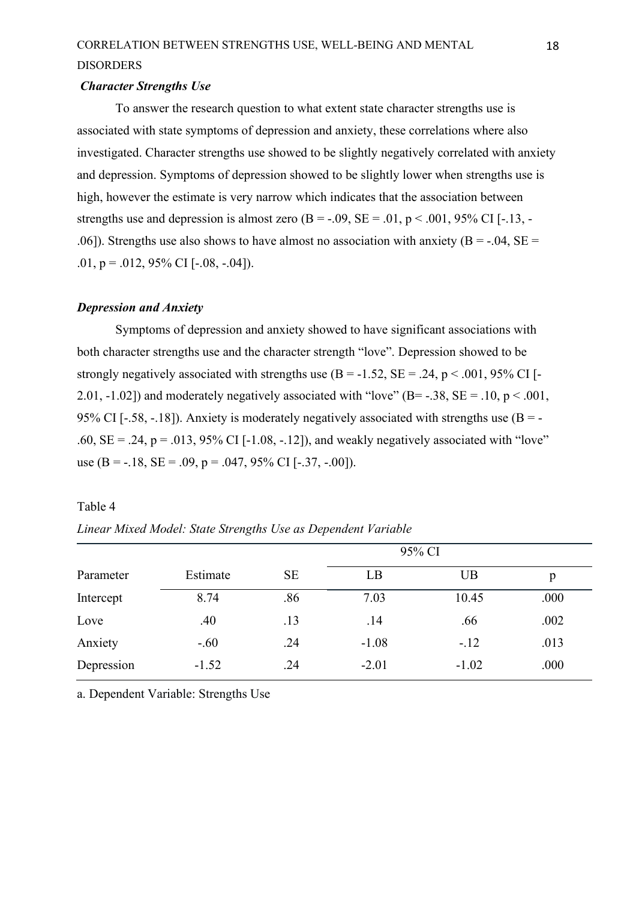#### <span id="page-18-0"></span>*Character Strengths Use*

To answer the research question to what extent state character strengths use is associated with state symptoms of depression and anxiety, these correlations where also investigated. Character strengths use showed to be slightly negatively correlated with anxiety and depression. Symptoms of depression showed to be slightly lower when strengths use is high, however the estimate is very narrow which indicates that the association between strengths use and depression is almost zero  $(B = -0.09, SE = 0.01, p < 0.001, 95\% \text{ CI}$  [-.13, -.06]). Strengths use also shows to have almost no association with anxiety ( $B = -0.04$ ,  $SE =$ .01,  $p = .012, 95\%$  CI [-.08, -.04]).

#### <span id="page-18-1"></span>*Depression and Anxiety*

Symptoms of depression and anxiety showed to have significant associations with both character strengths use and the character strength "love". Depression showed to be strongly negatively associated with strengths use  $(B = -1.52, SE = .24, p < .001, 95\% \text{ CI}$ . 2.01, -1.02]) and moderately negatively associated with "love" ( $B = -38$ ,  $SE = -10$ ,  $p < .001$ , 95% CI [-.58, -.18]). Anxiety is moderately negatively associated with strengths use  $(B = -1)$ .60,  $SE = .24$ ,  $p = .013$ , 95% CI [-1.08, -.12]), and weakly negatively associated with "love" use (B =  $-18$ , SE =  $.09$ , p =  $.047$ ,  $95\%$  CI [ $-0.37$ ,  $-0.00$ ]).

#### Table 4

| Linear Mixed Model: State Strengths Use as Dependent Variable |  |  |        |  |  |  |  |
|---------------------------------------------------------------|--|--|--------|--|--|--|--|
|                                                               |  |  | 95% CI |  |  |  |  |
|                                                               |  |  |        |  |  |  |  |

|            |          |           |         | 95% CI  |      |
|------------|----------|-----------|---------|---------|------|
| Parameter  | Estimate | <b>SE</b> | LB      | UB      | p    |
| Intercept  | 8.74     | .86       | 7.03    | 10.45   | .000 |
| Love       | .40      | .13       | .14     | .66     | .002 |
| Anxiety    | $-.60$   | .24       | $-1.08$ | $-.12$  | .013 |
| Depression | $-1.52$  | .24       | $-2.01$ | $-1.02$ | .000 |

a. Dependent Variable: Strengths Use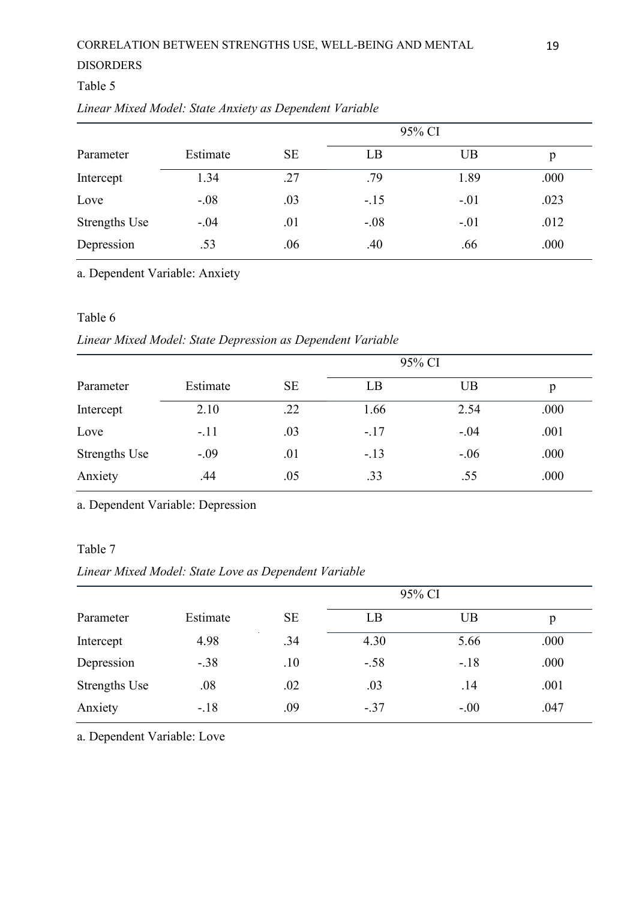### Table 5

|  |  |  | Linear Mixed Model: State Anxiety as Dependent Variable |  |
|--|--|--|---------------------------------------------------------|--|
|  |  |  |                                                         |  |

| Parameter            | Estimate | <b>SE</b> | LB     | UB     | p    |
|----------------------|----------|-----------|--------|--------|------|
| Intercept            | 1.34     | .27       | .79    | 1.89   | .000 |
| Love                 | $-.08$   | .03       | $-.15$ | $-.01$ | .023 |
| <b>Strengths Use</b> | $-.04$   | .01       | $-.08$ | $-.01$ | .012 |
| Depression           | .53      | .06       | .40    | .66    | .000 |

a. Dependent Variable: Anxiety

### Table 6

### *Linear Mixed Model: State Depression as Dependent Variable*

|                      |          | 95% CI    |        |           |      |  |  |
|----------------------|----------|-----------|--------|-----------|------|--|--|
| Parameter            | Estimate | <b>SE</b> | LB     | <b>UB</b> | p    |  |  |
| Intercept            | 2.10     | .22       | 1.66   | 2.54      | .000 |  |  |
| Love                 | $-.11$   | .03       | $-.17$ | $-.04$    | .001 |  |  |
| <b>Strengths Use</b> | $-.09$   | .01       | $-.13$ | $-.06$    | .000 |  |  |
| Anxiety              | .44      | .05       | .33    | .55       | .000 |  |  |

a. Dependent Variable: Depression

### Table 7

## *Linear Mixed Model: State Love as Dependent Variable*

|                      |          |           | 95% CI |        |      |
|----------------------|----------|-----------|--------|--------|------|
| Parameter            | Estimate | <b>SE</b> | LB     | UB     | p    |
| Intercept            | 4.98     | .34       | 4.30   | 5.66   | .000 |
| Depression           | $-.38$   | .10       | $-.58$ | $-.18$ | .000 |
| <b>Strengths Use</b> | .08      | .02       | .03    | .14    | .001 |
| Anxiety              | $-.18$   | .09       | $-.37$ | $-.00$ | .047 |

a. Dependent Variable: Love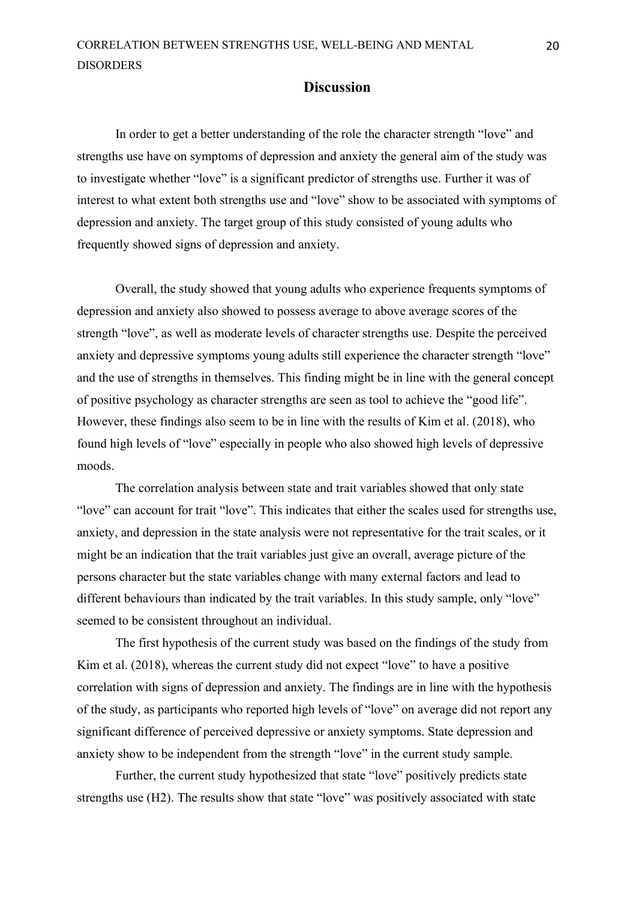#### **Discussion**

<span id="page-20-0"></span>In order to get a better understanding of the role the character strength "love" and strengths use have on symptoms of depression and anxiety the general aim of the study was to investigate whether "love" is a significant predictor of strengths use. Further it was of interest to what extent both strengths use and "love" show to be associated with symptoms of depression and anxiety. The target group of this study consisted of young adults who frequently showed signs of depression and anxiety.

Overall, the study showed that young adults who experience frequents symptoms of depression and anxiety also showed to possess average to above average scores of the strength "love", as well as moderate levels of character strengths use. Despite the perceived anxiety and depressive symptoms young adults still experience the character strength "love" and the use of strengths in themselves. This finding might be in line with the general concept of positive psychology as character strengths are seen as tool to achieve the "good life". However, these findings also seem to be in line with the results of Kim et al. (2018), who found high levels of "love" especially in people who also showed high levels of depressive moods.

The correlation analysis between state and trait variables showed that only state "love" can account for trait "love". This indicates that either the scales used for strengths use, anxiety, and depression in the state analysis were not representative for the trait scales, or it might be an indication that the trait variables just give an overall, average picture of the persons character but the state variables change with many external factors and lead to different behaviours than indicated by the trait variables. In this study sample, only "love" seemed to be consistent throughout an individual.

The first hypothesis of the current study was based on the findings of the study from Kim et al. (2018), whereas the current study did not expect "love" to have a positive correlation with signs of depression and anxiety. The findings are in line with the hypothesis of the study, as participants who reported high levels of "love" on average did not report any significant difference of perceived depressive or anxiety symptoms. State depression and anxiety show to be independent from the strength "love" in the current study sample.

Further, the current study hypothesized that state "love" positively predicts state strengths use (H2). The results show that state "love" was positively associated with state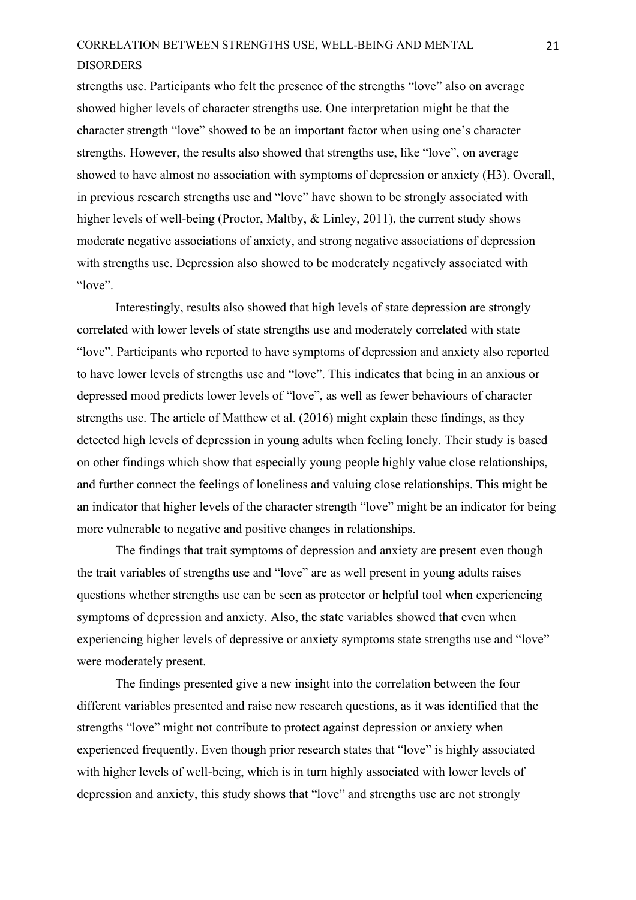strengths use. Participants who felt the presence of the strengths "love" also on average showed higher levels of character strengths use. One interpretation might be that the character strength "love" showed to be an important factor when using one's character strengths. However, the results also showed that strengths use, like "love", on average showed to have almost no association with symptoms of depression or anxiety (H3). Overall, in previous research strengths use and "love" have shown to be strongly associated with higher levels of well-being (Proctor, Maltby, & Linley, 2011), the current study shows moderate negative associations of anxiety, and strong negative associations of depression with strengths use. Depression also showed to be moderately negatively associated with "love".

Interestingly, results also showed that high levels of state depression are strongly correlated with lower levels of state strengths use and moderately correlated with state "love". Participants who reported to have symptoms of depression and anxiety also reported to have lower levels of strengths use and "love". This indicates that being in an anxious or depressed mood predicts lower levels of "love", as well as fewer behaviours of character strengths use. The article of Matthew et al. (2016) might explain these findings, as they detected high levels of depression in young adults when feeling lonely. Their study is based on other findings which show that especially young people highly value close relationships, and further connect the feelings of loneliness and valuing close relationships. This might be an indicator that higher levels of the character strength "love" might be an indicator for being more vulnerable to negative and positive changes in relationships.

The findings that trait symptoms of depression and anxiety are present even though the trait variables of strengths use and "love" are as well present in young adults raises questions whether strengths use can be seen as protector or helpful tool when experiencing symptoms of depression and anxiety. Also, the state variables showed that even when experiencing higher levels of depressive or anxiety symptoms state strengths use and "love" were moderately present.

The findings presented give a new insight into the correlation between the four different variables presented and raise new research questions, as it was identified that the strengths "love" might not contribute to protect against depression or anxiety when experienced frequently. Even though prior research states that "love" is highly associated with higher levels of well-being, which is in turn highly associated with lower levels of depression and anxiety, this study shows that "love" and strengths use are not strongly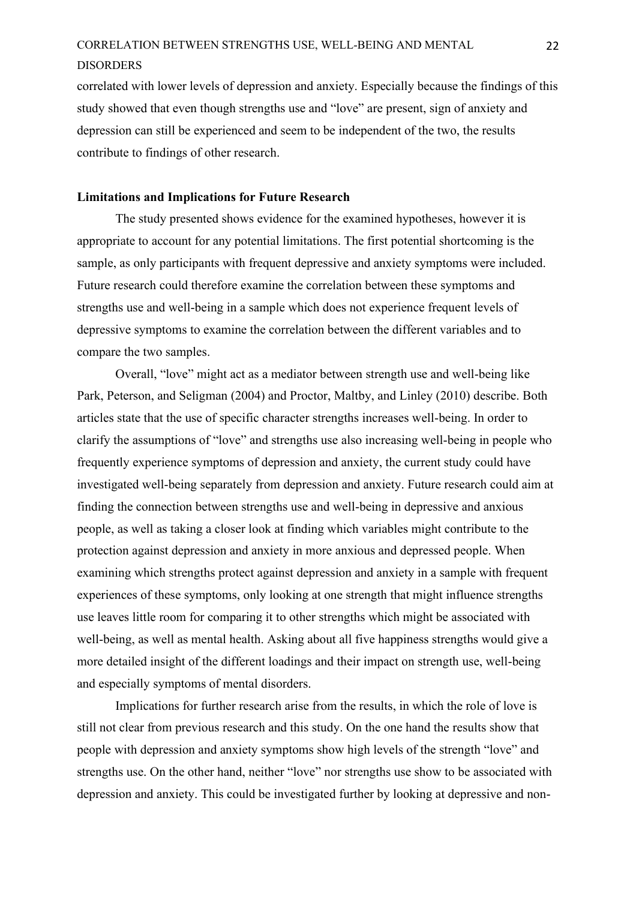correlated with lower levels of depression and anxiety. Especially because the findings of this study showed that even though strengths use and "love" are present, sign of anxiety and depression can still be experienced and seem to be independent of the two, the results contribute to findings of other research.

#### <span id="page-22-0"></span>**Limitations and Implications for Future Research**

The study presented shows evidence for the examined hypotheses, however it is appropriate to account for any potential limitations. The first potential shortcoming is the sample, as only participants with frequent depressive and anxiety symptoms were included. Future research could therefore examine the correlation between these symptoms and strengths use and well-being in a sample which does not experience frequent levels of depressive symptoms to examine the correlation between the different variables and to compare the two samples.

Overall, "love" might act as a mediator between strength use and well-being like Park, Peterson, and Seligman (2004) and Proctor, Maltby, and Linley (2010) describe. Both articles state that the use of specific character strengths increases well-being. In order to clarify the assumptions of "love" and strengths use also increasing well-being in people who frequently experience symptoms of depression and anxiety, the current study could have investigated well-being separately from depression and anxiety. Future research could aim at finding the connection between strengths use and well-being in depressive and anxious people, as well as taking a closer look at finding which variables might contribute to the protection against depression and anxiety in more anxious and depressed people. When examining which strengths protect against depression and anxiety in a sample with frequent experiences of these symptoms, only looking at one strength that might influence strengths use leaves little room for comparing it to other strengths which might be associated with well-being, as well as mental health. Asking about all five happiness strengths would give a more detailed insight of the different loadings and their impact on strength use, well-being and especially symptoms of mental disorders.

Implications for further research arise from the results, in which the role of love is still not clear from previous research and this study. On the one hand the results show that people with depression and anxiety symptoms show high levels of the strength "love" and strengths use. On the other hand, neither "love" nor strengths use show to be associated with depression and anxiety. This could be investigated further by looking at depressive and non-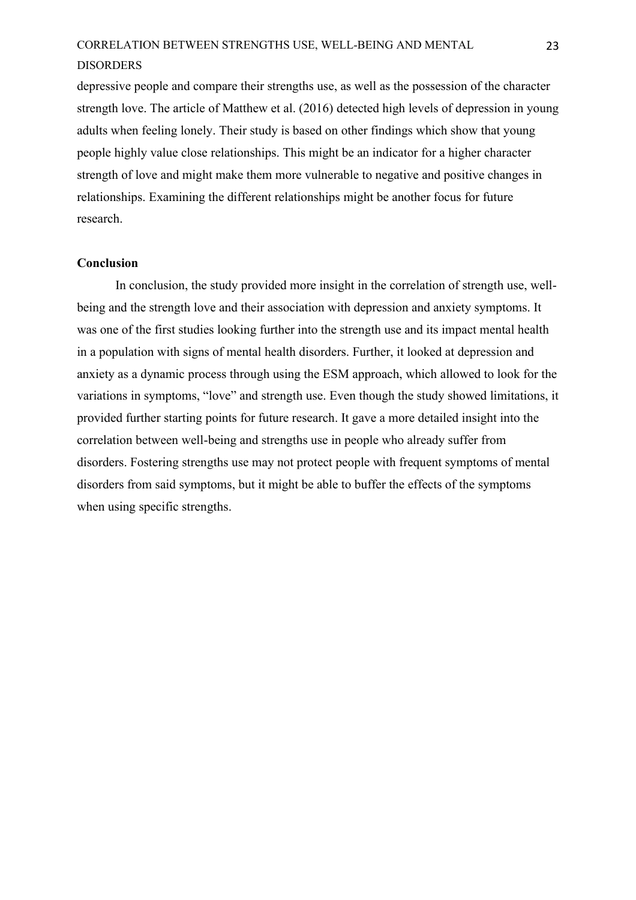depressive people and compare their strengths use, as well as the possession of the character strength love. The article of Matthew et al. (2016) detected high levels of depression in young adults when feeling lonely. Their study is based on other findings which show that young people highly value close relationships. This might be an indicator for a higher character strength of love and might make them more vulnerable to negative and positive changes in relationships. Examining the different relationships might be another focus for future research.

#### <span id="page-23-0"></span>**Conclusion**

In conclusion, the study provided more insight in the correlation of strength use, wellbeing and the strength love and their association with depression and anxiety symptoms. It was one of the first studies looking further into the strength use and its impact mental health in a population with signs of mental health disorders. Further, it looked at depression and anxiety as a dynamic process through using the ESM approach, which allowed to look for the variations in symptoms, "love" and strength use. Even though the study showed limitations, it provided further starting points for future research. It gave a more detailed insight into the correlation between well-being and strengths use in people who already suffer from disorders. Fostering strengths use may not protect people with frequent symptoms of mental disorders from said symptoms, but it might be able to buffer the effects of the symptoms when using specific strengths.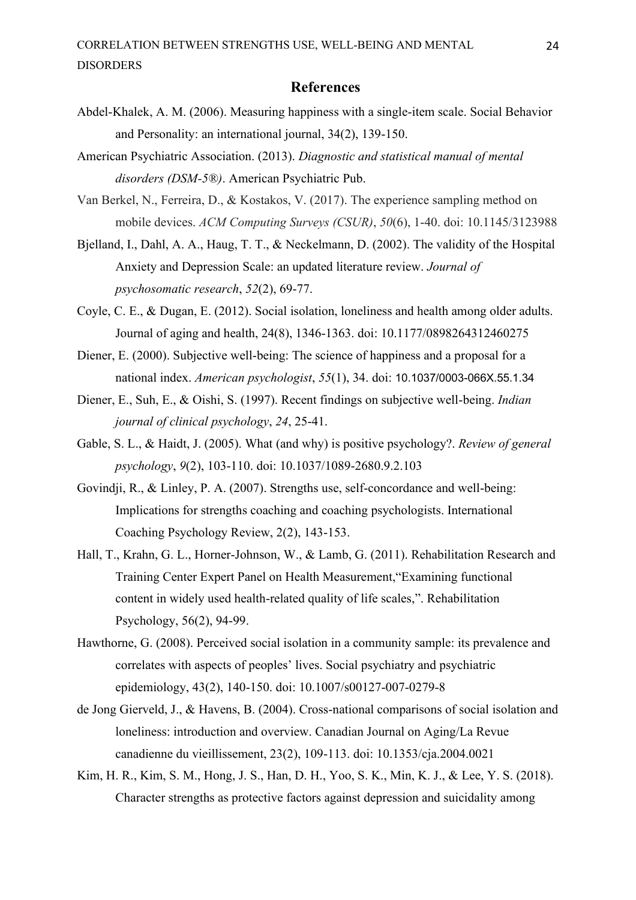#### **References**

- <span id="page-24-0"></span>Abdel-Khalek, A. M. (2006). Measuring happiness with a single-item scale. Social Behavior and Personality: an international journal, 34(2), 139-150.
- American Psychiatric Association. (2013). *Diagnostic and statistical manual of mental disorders (DSM-5®)*. American Psychiatric Pub.
- Van Berkel, N., Ferreira, D., & Kostakos, V. (2017). The experience sampling method on mobile devices. *ACM Computing Surveys (CSUR)*, *50*(6), 1-40. doi: 10.1145/3123988
- Bjelland, I., Dahl, A. A., Haug, T. T., & Neckelmann, D. (2002). The validity of the Hospital Anxiety and Depression Scale: an updated literature review. *Journal of psychosomatic research*, *52*(2), 69-77.
- Coyle, C. E., & Dugan, E. (2012). Social isolation, loneliness and health among older adults. Journal of aging and health, 24(8), 1346-1363. doi: 10.1177/0898264312460275
- Diener, E. (2000). Subjective well-being: The science of happiness and a proposal for a national index. *American psychologist*, *55*(1), 34. doi: 10.1037/0003-066X.55.1.34
- Diener, E., Suh, E., & Oishi, S. (1997). Recent findings on subjective well-being. *Indian journal of clinical psychology*, *24*, 25-41.
- Gable, S. L., & Haidt, J. (2005). What (and why) is positive psychology?. *Review of general psychology*, *9*(2), 103-110. doi: 10.1037/1089-2680.9.2.103
- Govindji, R., & Linley, P. A. (2007). Strengths use, self-concordance and well-being: Implications for strengths coaching and coaching psychologists. International Coaching Psychology Review, 2(2), 143-153.
- Hall, T., Krahn, G. L., Horner-Johnson, W., & Lamb, G. (2011). Rehabilitation Research and Training Center Expert Panel on Health Measurement,"Examining functional content in widely used health-related quality of life scales,". Rehabilitation Psychology, 56(2), 94-99.
- Hawthorne, G. (2008). Perceived social isolation in a community sample: its prevalence and correlates with aspects of peoples' lives. Social psychiatry and psychiatric epidemiology, 43(2), 140-150. doi: 10.1007/s00127-007-0279-8
- de Jong Gierveld, J., & Havens, B. (2004). Cross-national comparisons of social isolation and loneliness: introduction and overview. Canadian Journal on Aging/La Revue canadienne du vieillissement, 23(2), 109-113. doi: 10.1353/cja.2004.0021
- Kim, H. R., Kim, S. M., Hong, J. S., Han, D. H., Yoo, S. K., Min, K. J., & Lee, Y. S. (2018). Character strengths as protective factors against depression and suicidality among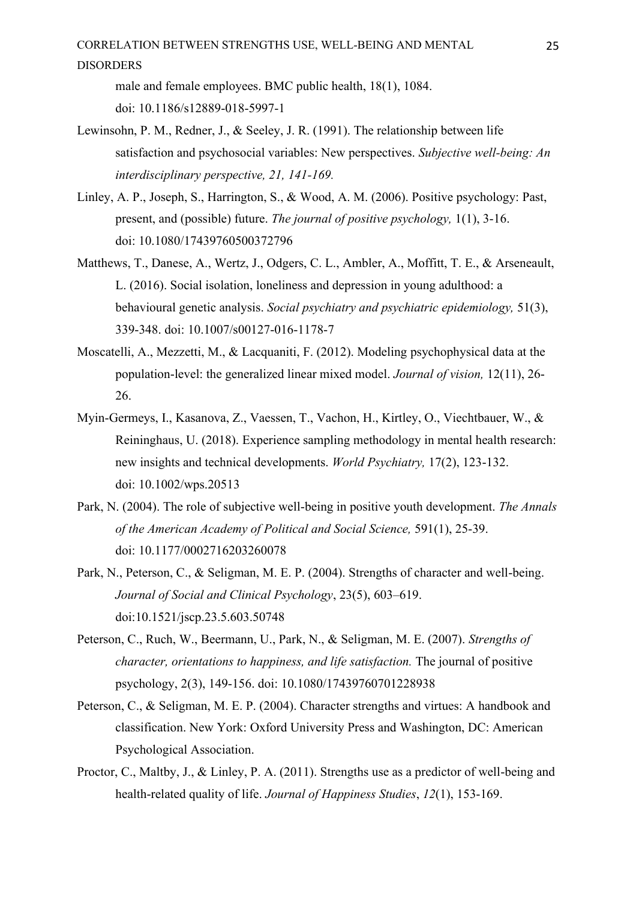- male and female employees. BMC public health, 18(1), 1084. doi: 10.1186/s12889-018-5997-1
- Lewinsohn, P. M., Redner, J., & Seeley, J. R. (1991). The relationship between life satisfaction and psychosocial variables: New perspectives. *Subjective well-being: An interdisciplinary perspective, 21, 141-169.*
- Linley, A. P., Joseph, S., Harrington, S., & Wood, A. M. (2006). Positive psychology: Past, present, and (possible) future. *The journal of positive psychology,* 1(1), 3-16. doi: 10.1080/17439760500372796
- Matthews, T., Danese, A., Wertz, J., Odgers, C. L., Ambler, A., Moffitt, T. E., & Arseneault, L. (2016). Social isolation, loneliness and depression in young adulthood: a behavioural genetic analysis. *Social psychiatry and psychiatric epidemiology,* 51(3), 339-348. doi: 10.1007/s00127-016-1178-7
- Moscatelli, A., Mezzetti, M., & Lacquaniti, F. (2012). Modeling psychophysical data at the population-level: the generalized linear mixed model. *Journal of vision,* 12(11), 26- 26.
- Myin‐Germeys, I., Kasanova, Z., Vaessen, T., Vachon, H., Kirtley, O., Viechtbauer, W., & Reininghaus, U. (2018). Experience sampling methodology in mental health research: new insights and technical developments. *World Psychiatry,* 17(2), 123-132. doi: 10.1002/wps.20513
- Park, N. (2004). The role of subjective well-being in positive youth development. *The Annals of the American Academy of Political and Social Science,* 591(1), 25-39. doi: 10.1177/0002716203260078
- Park, N., Peterson, C., & Seligman, M. E. P. (2004). Strengths of character and well-being. *Journal of Social and Clinical Psychology*, 23(5), 603–619. doi:10.1521/jscp.23.5.603.50748
- Peterson, C., Ruch, W., Beermann, U., Park, N., & Seligman, M. E. (2007). *Strengths of character, orientations to happiness, and life satisfaction.* The journal of positive psychology, 2(3), 149-156. doi: 10.1080/17439760701228938
- Peterson, C., & Seligman, M. E. P. (2004). Character strengths and virtues: A handbook and classification. New York: Oxford University Press and Washington, DC: American Psychological Association.
- Proctor, C., Maltby, J., & Linley, P. A. (2011). Strengths use as a predictor of well-being and health-related quality of life. *Journal of Happiness Studies*, *12*(1), 153-169.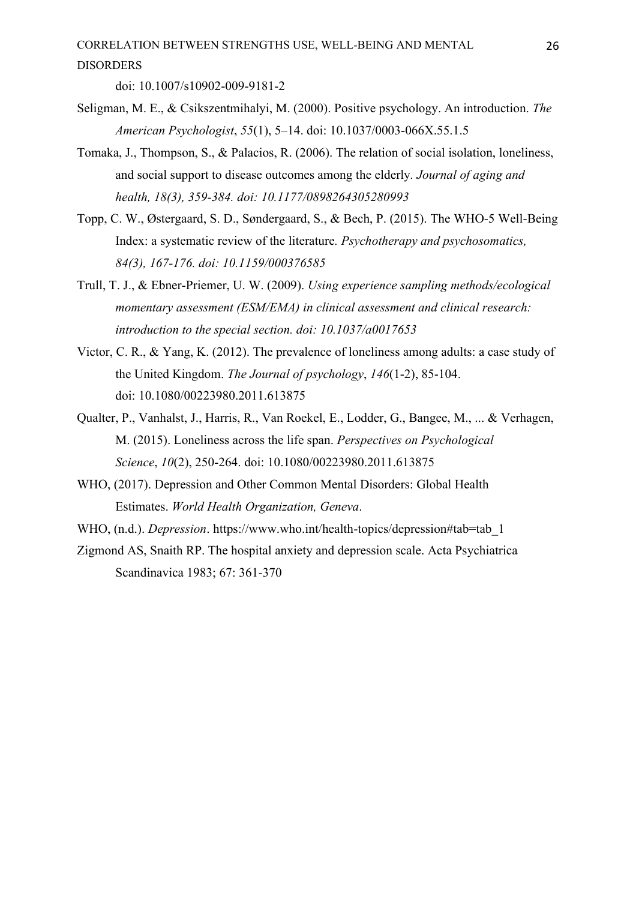doi: 10.1007/s10902-009-9181-2

- Seligman, M. E., & Csikszentmihalyi, M. (2000). Positive psychology. An introduction. *The American Psychologist*, *55*(1), 5–14. doi: 10.1037/0003-066X.55.1.5
- Tomaka, J., Thompson, S., & Palacios, R. (2006). The relation of social isolation, loneliness, and social support to disease outcomes among the elderly*. Journal of aging and health, 18(3), 359-384. doi: 10.1177/0898264305280993*
- Topp, C. W., Østergaard, S. D., Søndergaard, S., & Bech, P. (2015). The WHO-5 Well-Being Index: a systematic review of the literature*. Psychotherapy and psychosomatics, 84(3), 167-176. doi: 10.1159/000376585*
- Trull, T. J., & Ebner-Priemer, U. W. (2009). *Using experience sampling methods/ecological momentary assessment (ESM/EMA) in clinical assessment and clinical research: introduction to the special section. doi: 10.1037/a0017653*
- Victor, C. R., & Yang, K. (2012). The prevalence of loneliness among adults: a case study of the United Kingdom. *The Journal of psychology*, *146*(1-2), 85-104. doi: 10.1080/00223980.2011.613875
- Qualter, P., Vanhalst, J., Harris, R., Van Roekel, E., Lodder, G., Bangee, M., ... & Verhagen, M. (2015). Loneliness across the life span. *Perspectives on Psychological Science*, *10*(2), 250-264. doi: 10.1080/00223980.2011.613875
- WHO, (2017). Depression and Other Common Mental Disorders: Global Health Estimates. *World Health Organization, Geneva*.
- WHO, (n.d.). *Depression*. https://www.who.int/health-topics/depression#tab=tab\_1
- Zigmond AS, Snaith RP. The hospital anxiety and depression scale. Acta Psychiatrica Scandinavica 1983; 67: 361-370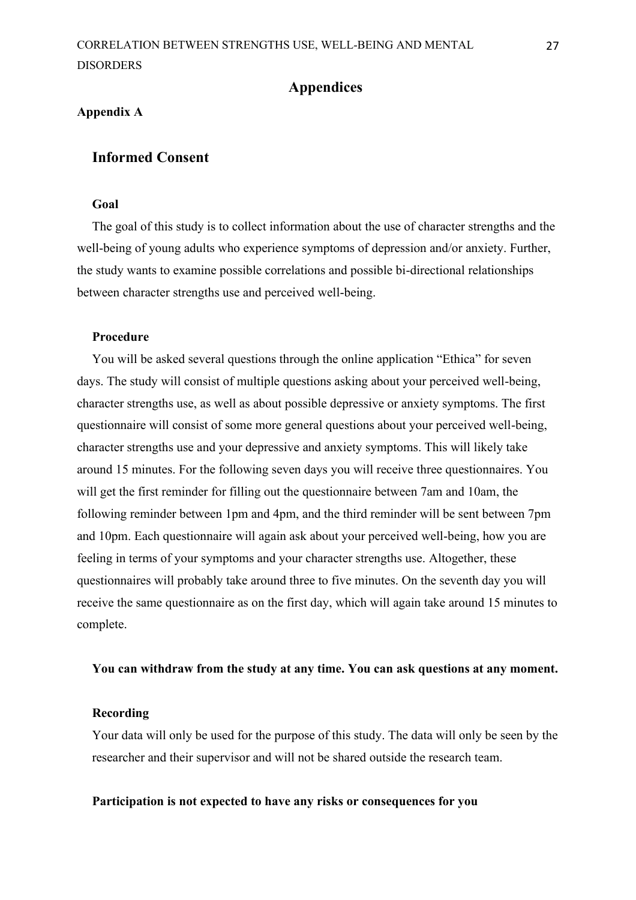#### **Appendices**

#### <span id="page-27-1"></span><span id="page-27-0"></span>**Appendix A**

### **Informed Consent**

### **Goal**

The goal of this study is to collect information about the use of character strengths and the well-being of young adults who experience symptoms of depression and/or anxiety. Further, the study wants to examine possible correlations and possible bi-directional relationships between character strengths use and perceived well-being.

#### **Procedure**

You will be asked several questions through the online application "Ethica" for seven days. The study will consist of multiple questions asking about your perceived well-being, character strengths use, as well as about possible depressive or anxiety symptoms. The first questionnaire will consist of some more general questions about your perceived well-being, character strengths use and your depressive and anxiety symptoms. This will likely take around 15 minutes. For the following seven days you will receive three questionnaires. You will get the first reminder for filling out the questionnaire between 7am and 10am, the following reminder between 1pm and 4pm, and the third reminder will be sent between 7pm and 10pm. Each questionnaire will again ask about your perceived well-being, how you are feeling in terms of your symptoms and your character strengths use. Altogether, these questionnaires will probably take around three to five minutes. On the seventh day you will receive the same questionnaire as on the first day, which will again take around 15 minutes to complete.

#### **You can withdraw from the study at any time. You can ask questions at any moment.**

#### **Recording**

Your data will only be used for the purpose of this study. The data will only be seen by the researcher and their supervisor and will not be shared outside the research team.

#### **Participation is not expected to have any risks or consequences for you**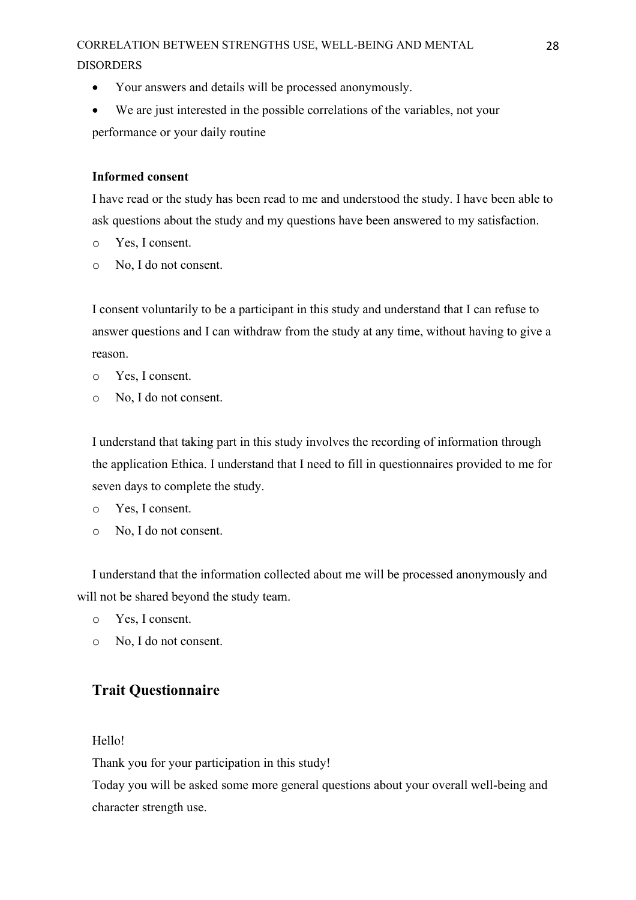- Your answers and details will be processed anonymously.
- We are just interested in the possible correlations of the variables, not your performance or your daily routine

#### **Informed consent**

I have read or the study has been read to me and understood the study. I have been able to ask questions about the study and my questions have been answered to my satisfaction.

- o Yes, I consent.
- o No, I do not consent.

I consent voluntarily to be a participant in this study and understand that I can refuse to answer questions and I can withdraw from the study at any time, without having to give a reason.

- o Yes, I consent.
- o No, I do not consent.

I understand that taking part in this study involves the recording of information through the application Ethica. I understand that I need to fill in questionnaires provided to me for seven days to complete the study.

- o Yes, I consent.
- o No, I do not consent.

I understand that the information collected about me will be processed anonymously and will not be shared beyond the study team.

- o Yes, I consent.
- o No, I do not consent.

## **Trait Questionnaire**

#### Hello!

Thank you for your participation in this study!

Today you will be asked some more general questions about your overall well-being and character strength use.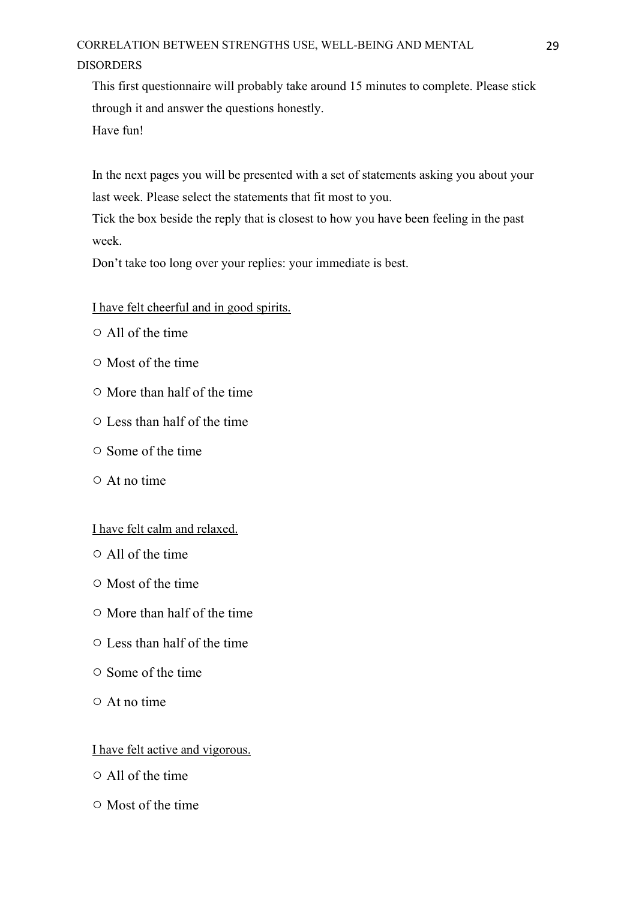This first questionnaire will probably take around 15 minutes to complete. Please stick through it and answer the questions honestly. Have fun!

In the next pages you will be presented with a set of statements asking you about your last week. Please select the statements that fit most to you.

Tick the box beside the reply that is closest to how you have been feeling in the past week.

Don't take too long over your replies: your immediate is best.

### I have felt cheerful and in good spirits.

- All of the time
- Most of the time
- More than half of the time
- Less than half of the time
- Some of the time
- At no time

I have felt calm and relaxed.

- All of the time
- Most of the time
- More than half of the time
- Less than half of the time
- Some of the time
- At no time

### I have felt active and vigorous.

- All of the time
- Most of the time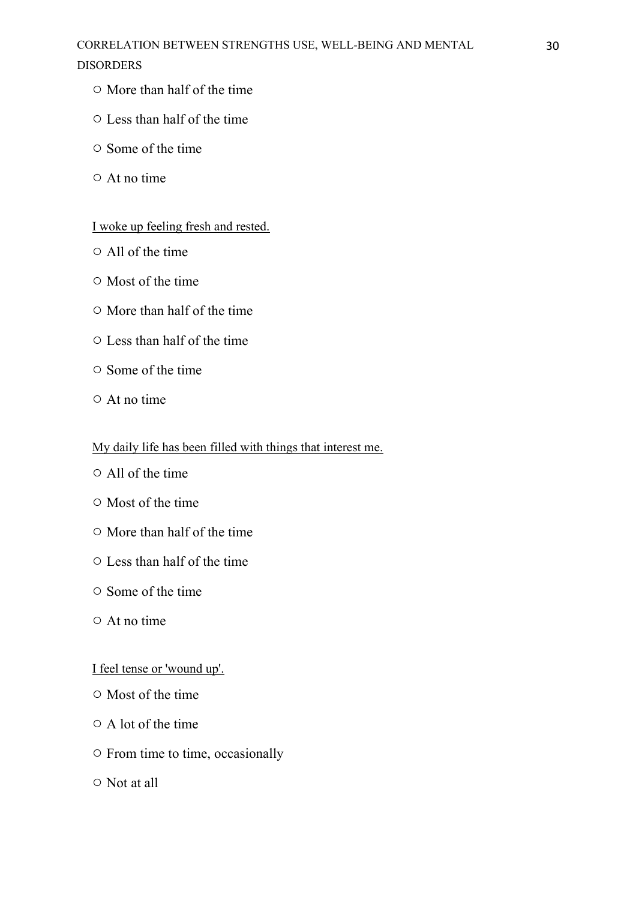- More than half of the time
- Less than half of the time
- Some of the time
- At no time

## I woke up feeling fresh and rested.

- All of the time
- Most of the time
- More than half of the time
- Less than half of the time
- Some of the time
- At no time

### My daily life has been filled with things that interest me.

- All of the time
- Most of the time
- More than half of the time
- Less than half of the time
- Some of the time
- At no time

## I feel tense or 'wound up'.

- Most of the time
- A lot of the time
- From time to time, occasionally
- Not at all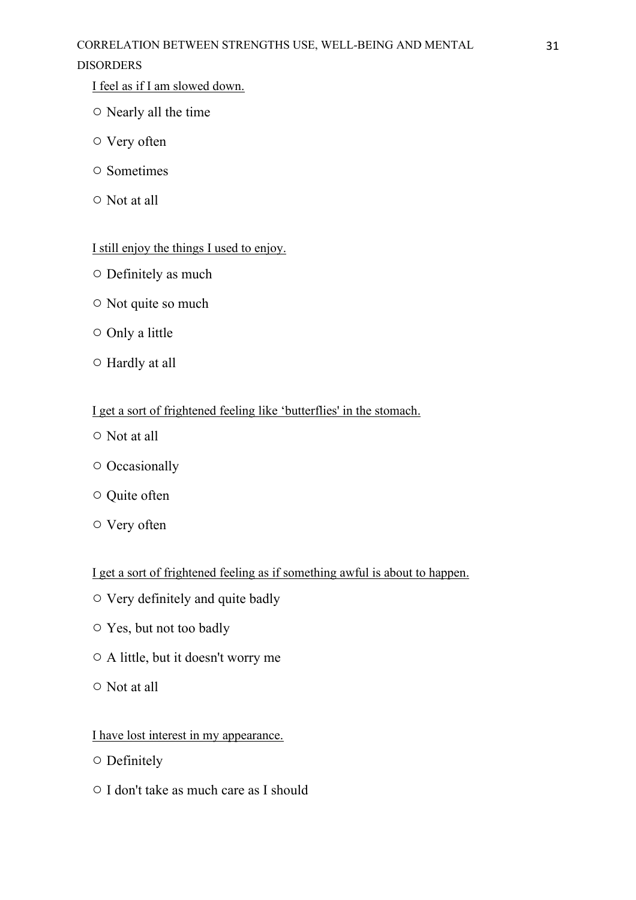## DISORDERS

I feel as if I am slowed down.

- Nearly all the time
- Very often
- Sometimes
- Not at all

## I still enjoy the things I used to enjoy.

- Definitely as much
- Not quite so much
- Only a little
- Hardly at all

## I get a sort of frightened feeling like 'butterflies' in the stomach.

- Not at all
- Occasionally
- Quite often
- Very often

I get a sort of frightened feeling as if something awful is about to happen.

- Very definitely and quite badly
- Yes, but not too badly
- A little, but it doesn't worry me
- Not at all

## I have lost interest in my appearance.

- Definitely
- I don't take as much care as I should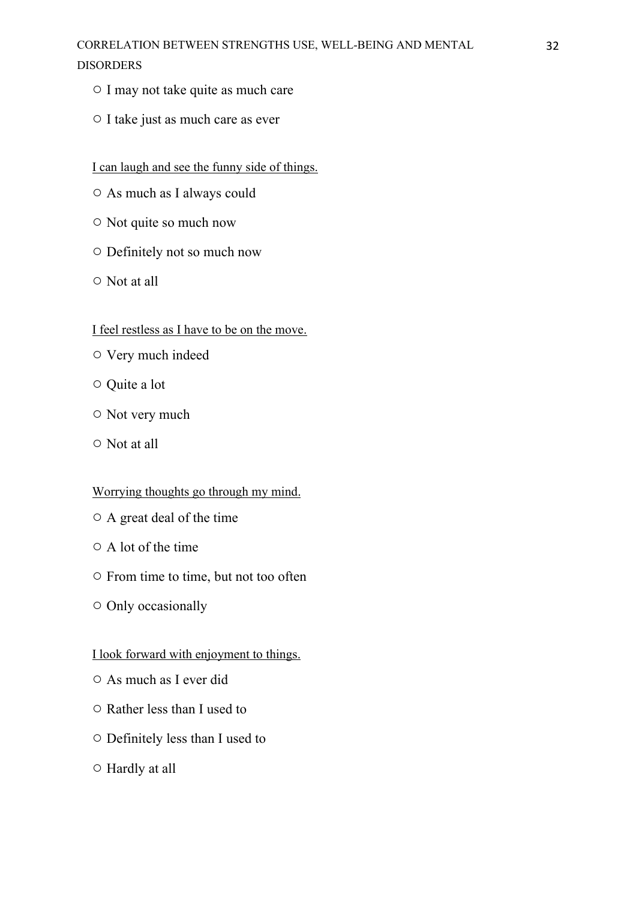- I may not take quite as much care
- I take just as much care as ever

### I can laugh and see the funny side of things.

- As much as I always could
- Not quite so much now
- Definitely not so much now
- Not at all

### I feel restless as I have to be on the move.

- Very much indeed
- Quite a lot
- Not very much
- Not at all

### Worrying thoughts go through my mind.

- A great deal of the time
- A lot of the time
- From time to time, but not too often
- Only occasionally

### I look forward with enjoyment to things.

- As much as I ever did
- Rather less than I used to
- Definitely less than I used to
- Hardly at all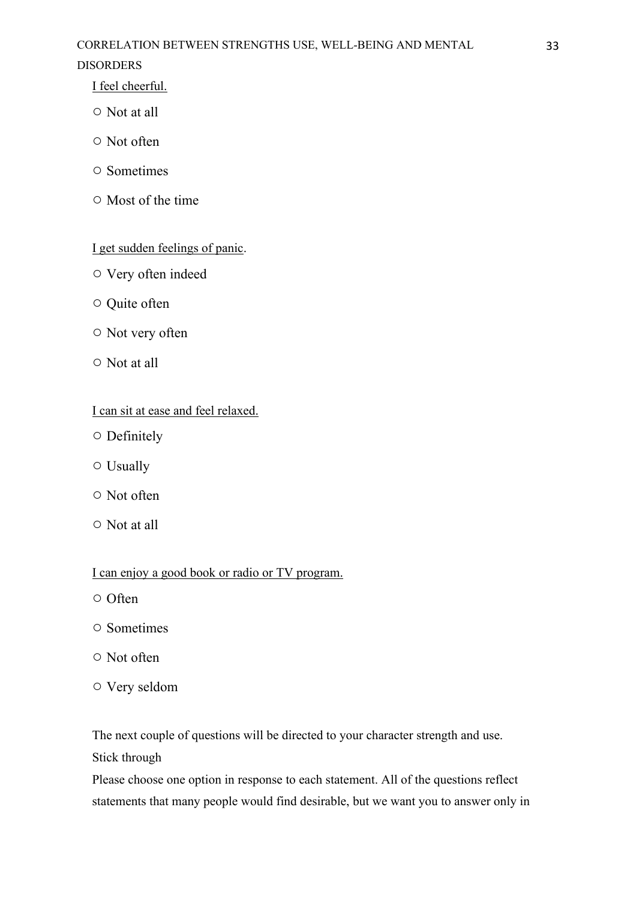## DISORDERS

I feel cheerful.

- Not at all
- Not often
- Sometimes
- Most of the time

## I get sudden feelings of panic.

- Very often indeed
- Quite often
- Not very often
- Not at all

## I can sit at ease and feel relaxed.

- Definitely
- Usually
- Not often
- Not at all

## I can enjoy a good book or radio or TV program.

- Often
- Sometimes
- Not often
- Very seldom

The next couple of questions will be directed to your character strength and use.

Stick through

Please choose one option in response to each statement. All of the questions reflect statements that many people would find desirable, but we want you to answer only in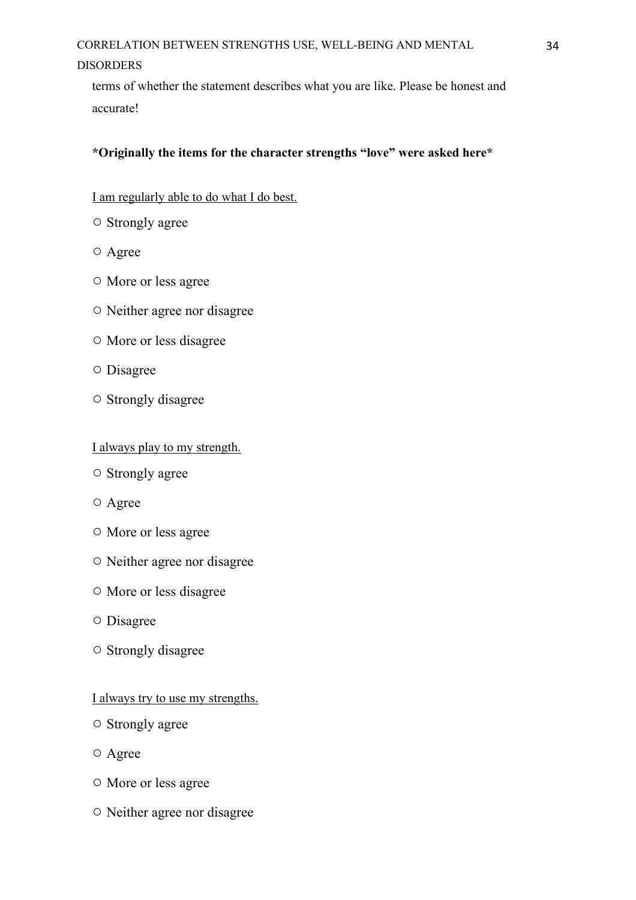terms of whether the statement describes what you are like. Please be honest and accurate!

### **\*Originally the items for the character strengths "love" were asked here\***

### I am regularly able to do what I do best.

- Strongly agree
- Agree
- More or less agree
- Neither agree nor disagree
- More or less disagree
- Disagree
- Strongly disagree

#### I always play to my strength.

- Strongly agree
- Agree
- More or less agree
- Neither agree nor disagree
- More or less disagree
- Disagree
- Strongly disagree

#### I always try to use my strengths.

- Strongly agree
- Agree
- More or less agree
- Neither agree nor disagree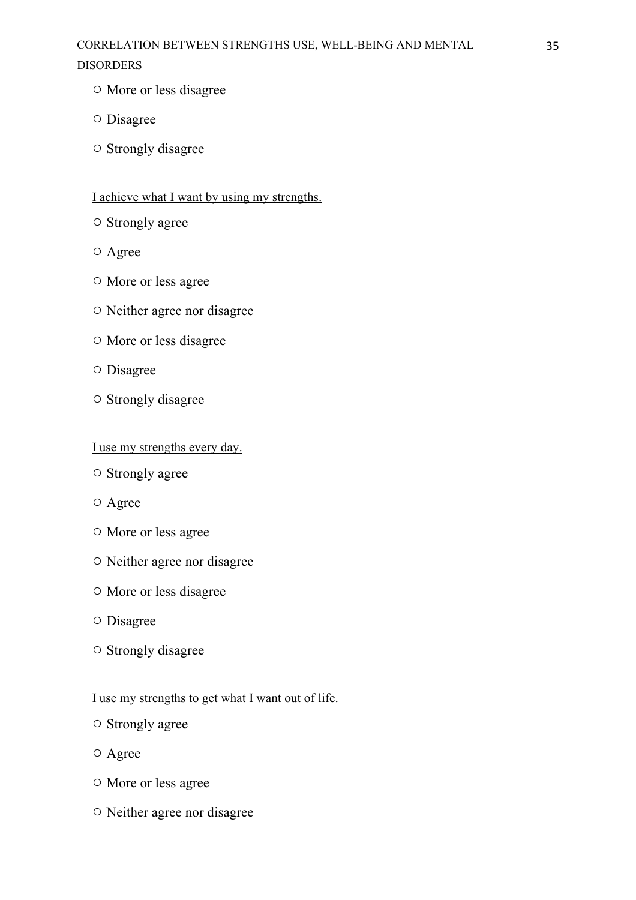- More or less disagree
- Disagree
- Strongly disagree

### I achieve what I want by using my strengths.

- Strongly agree
- Agree
- More or less agree
- Neither agree nor disagree
- More or less disagree
- Disagree
- Strongly disagree

### I use my strengths every day.

- Strongly agree
- Agree
- More or less agree
- Neither agree nor disagree
- More or less disagree
- Disagree
- Strongly disagree

### I use my strengths to get what I want out of life.

- Strongly agree
- Agree
- More or less agree
- Neither agree nor disagree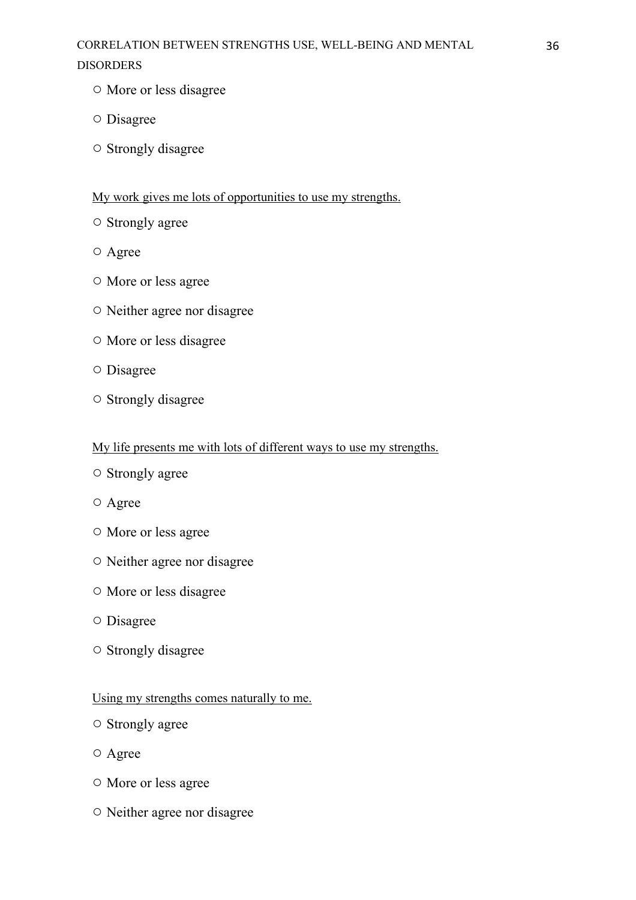- More or less disagree
- Disagree
- Strongly disagree

### My work gives me lots of opportunities to use my strengths.

- Strongly agree
- Agree
- More or less agree
- Neither agree nor disagree
- More or less disagree
- Disagree
- Strongly disagree

### My life presents me with lots of different ways to use my strengths.

- Strongly agree
- Agree
- More or less agree
- Neither agree nor disagree
- More or less disagree
- Disagree
- Strongly disagree

#### Using my strengths comes naturally to me.

- Strongly agree
- Agree
- More or less agree
- Neither agree nor disagree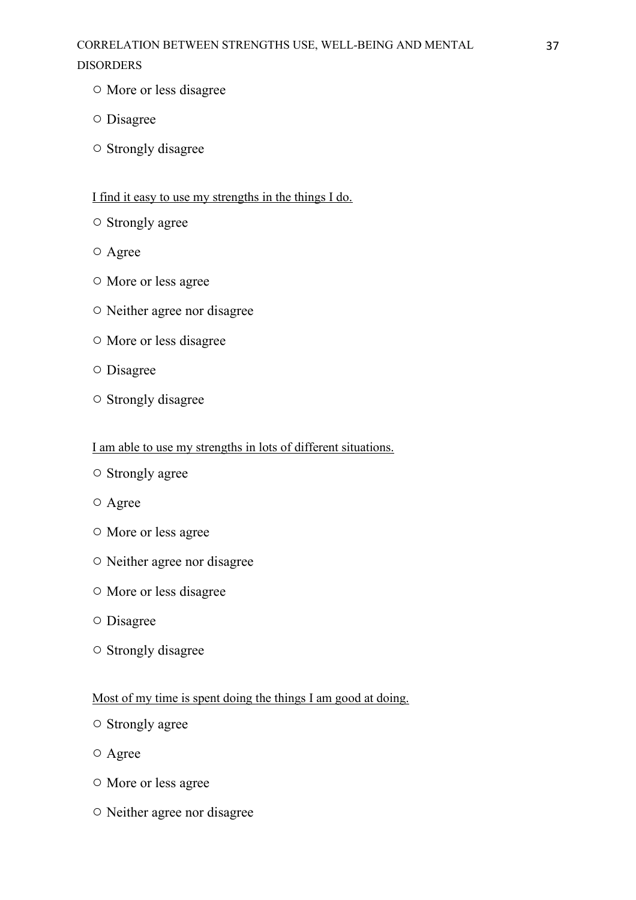- More or less disagree
- Disagree
- Strongly disagree

## I find it easy to use my strengths in the things I do.

- Strongly agree
- Agree
- More or less agree
- Neither agree nor disagree
- More or less disagree
- Disagree
- Strongly disagree

### I am able to use my strengths in lots of different situations.

- Strongly agree
- Agree
- More or less agree
- Neither agree nor disagree
- More or less disagree
- Disagree
- Strongly disagree

## Most of my time is spent doing the things I am good at doing.

- Strongly agree
- Agree
- More or less agree
- Neither agree nor disagree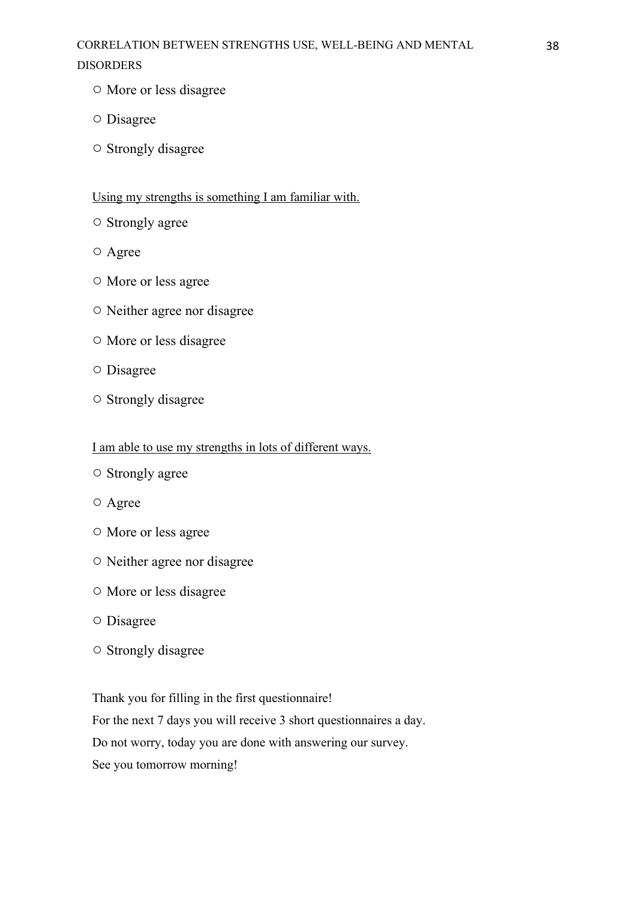- More or less disagree
- Disagree
- Strongly disagree

## Using my strengths is something I am familiar with.

- Strongly agree
- Agree
- More or less agree
- Neither agree nor disagree
- More or less disagree
- Disagree
- Strongly disagree

### I am able to use my strengths in lots of different ways.

- Strongly agree
- Agree
- More or less agree
- Neither agree nor disagree
- More or less disagree
- Disagree
- Strongly disagree

Thank you for filling in the first questionnaire!

For the next 7 days you will receive 3 short questionnaires a day.

Do not worry, today you are done with answering our survey.

See you tomorrow morning!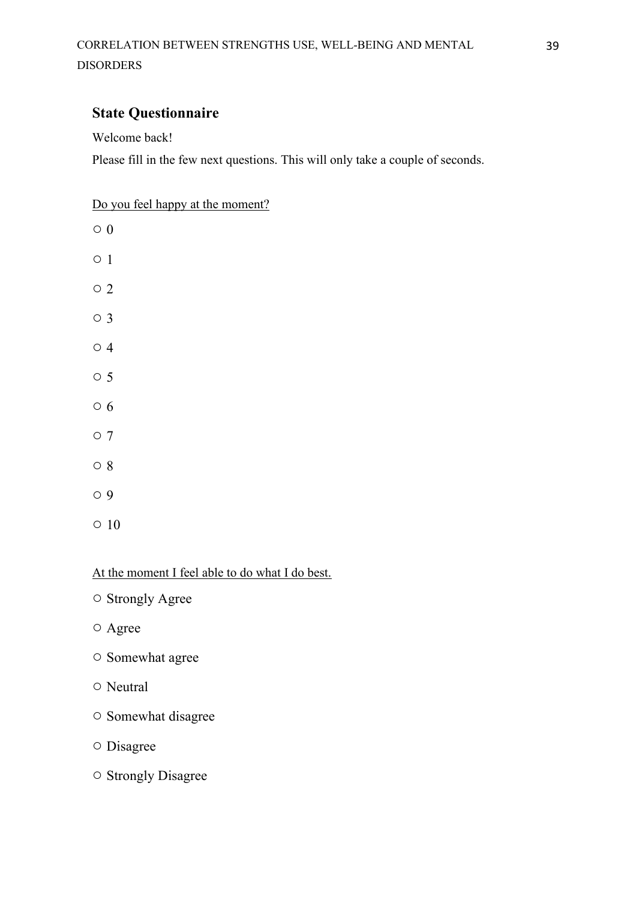## **State Questionnaire**

Welcome back!

Please fill in the few next questions. This will only take a couple of seconds.

Do you feel happy at the moment?

- $\circ$  0
- 1
- 2
- 3
- 4
- 5
- 
- 6
- 7
- 8
- 9
- 10

At the moment I feel able to do what I do best.

- Strongly Agree
- Agree
- Somewhat agree
- Neutral
- Somewhat disagree
- Disagree
- Strongly Disagree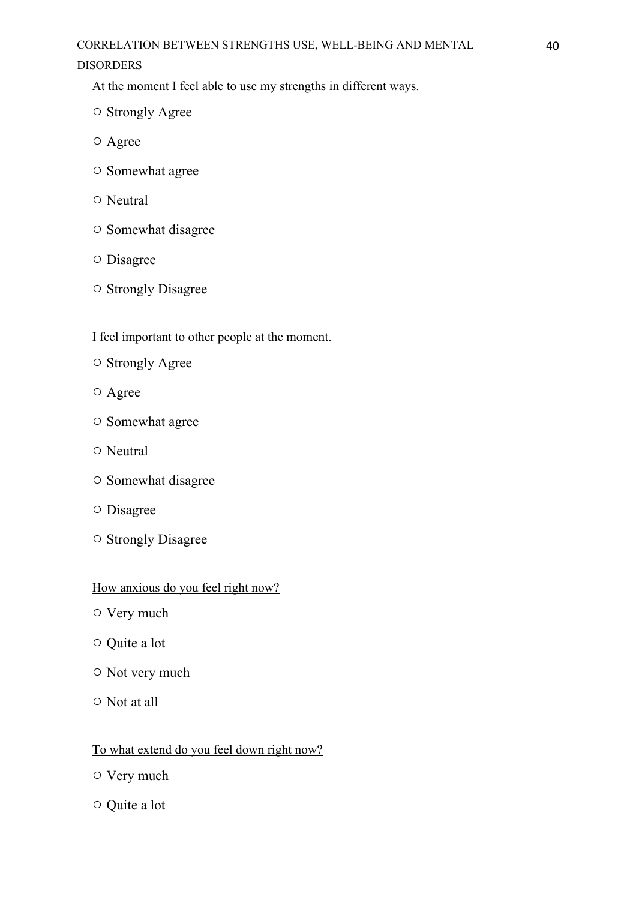At the moment I feel able to use my strengths in different ways.

- Strongly Agree
- Agree
- Somewhat agree
- Neutral
- Somewhat disagree
- Disagree
- Strongly Disagree

## I feel important to other people at the moment.

- Strongly Agree
- Agree
- Somewhat agree
- Neutral
- Somewhat disagree
- Disagree
- Strongly Disagree

## How anxious do you feel right now?

- Very much
- Quite a lot
- Not very much
- Not at all

## To what extend do you feel down right now?

- Very much
- Quite a lot